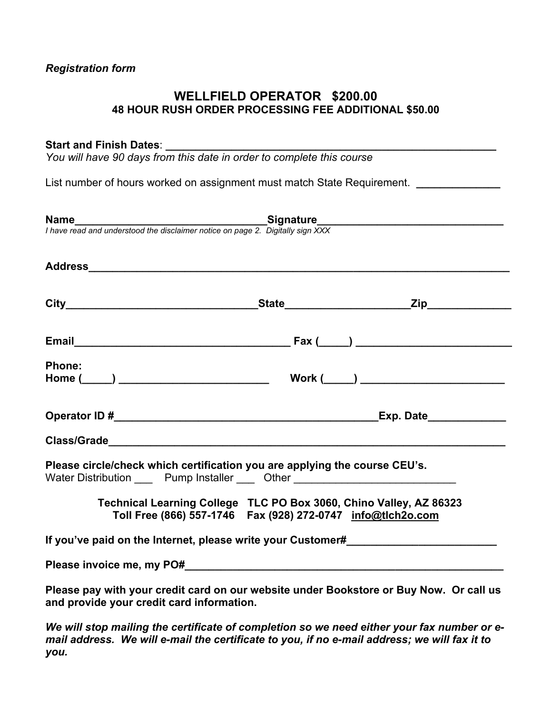#### *Registration form*

## **WELLFIELD OPERATOR \$200.00 48 HOUR RUSH ORDER PROCESSING FEE ADDITIONAL \$50.00**

#### Start and Finish Dates:

*You will have 90 days from this date in order to complete this course* 

List number of hours worked on assignment must match State Requirement. *\_\_\_\_\_\_\_\_\_\_\_\_* 

|                                           | <b>Name</b><br>I have read and understood the disclaimer notice on page 2. Digitally sign XXX                                                                  |  |
|-------------------------------------------|----------------------------------------------------------------------------------------------------------------------------------------------------------------|--|
|                                           |                                                                                                                                                                |  |
|                                           |                                                                                                                                                                |  |
|                                           |                                                                                                                                                                |  |
|                                           |                                                                                                                                                                |  |
| <b>Phone:</b>                             |                                                                                                                                                                |  |
|                                           |                                                                                                                                                                |  |
|                                           |                                                                                                                                                                |  |
|                                           |                                                                                                                                                                |  |
|                                           | Please circle/check which certification you are applying the course CEU's.<br>Water Distribution ______ Pump Installer ______ Other __________________________ |  |
|                                           | Technical Learning College TLC PO Box 3060, Chino Valley, AZ 86323<br>Toll Free (866) 557-1746    Fax (928) 272-0747    info@tlch2o.com                        |  |
|                                           | If you've paid on the Internet, please write your Customer# 1997 1998 1999 1999                                                                                |  |
|                                           |                                                                                                                                                                |  |
| and provide your credit card information. | Please pay with your credit card on our website under Bookstore or Buy Now. Or call us                                                                         |  |

*We will stop mailing the certificate of completion so we need either your fax number or email address. We will e-mail the certificate to you, if no e-mail address; we will fax it to you.*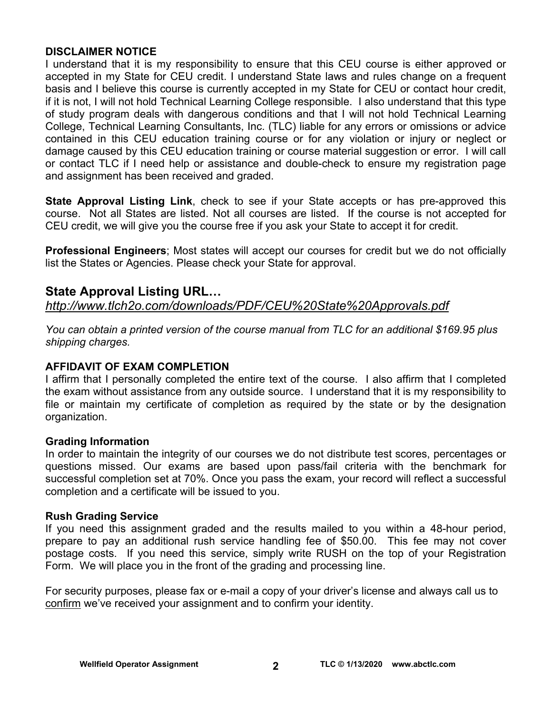#### **DISCLAIMER NOTICE**

I understand that it is my responsibility to ensure that this CEU course is either approved or accepted in my State for CEU credit. I understand State laws and rules change on a frequent basis and I believe this course is currently accepted in my State for CEU or contact hour credit, if it is not, I will not hold Technical Learning College responsible. I also understand that this type of study program deals with dangerous conditions and that I will not hold Technical Learning College, Technical Learning Consultants, Inc. (TLC) liable for any errors or omissions or advice contained in this CEU education training course or for any violation or injury or neglect or damage caused by this CEU education training or course material suggestion or error. I will call or contact TLC if I need help or assistance and double-check to ensure my registration page and assignment has been received and graded.

**State Approval Listing Link**, check to see if your State accepts or has pre-approved this course. Not all States are listed. Not all courses are listed. If the course is not accepted for CEU credit, we will give you the course free if you ask your State to accept it for credit.

**Professional Engineers**; Most states will accept our courses for credit but we do not officially list the States or Agencies. Please check your State for approval.

## **State Approval Listing URL…**

*<http://www.tlch2o.com/downloads/PDF/CEU%20State%20Approvals.pdf>*

*You can obtain a printed version of the course manual from TLC for an additional \$169.95 plus shipping charges.* 

## **AFFIDAVIT OF EXAM COMPLETION**

I affirm that I personally completed the entire text of the course. I also affirm that I completed the exam without assistance from any outside source. I understand that it is my responsibility to file or maintain my certificate of completion as required by the state or by the designation organization.

#### **Grading Information**

In order to maintain the integrity of our courses we do not distribute test scores, percentages or questions missed. Our exams are based upon pass/fail criteria with the benchmark for successful completion set at 70%. Once you pass the exam, your record will reflect a successful completion and a certificate will be issued to you.

#### **Rush Grading Service**

If you need this assignment graded and the results mailed to you within a 48-hour period, prepare to pay an additional rush service handling fee of \$50.00. This fee may not cover postage costs. If you need this service, simply write RUSH on the top of your Registration Form. We will place you in the front of the grading and processing line.

For security purposes, please fax or e-mail a copy of your driver's license and always call us to confirm we've received your assignment and to confirm your identity.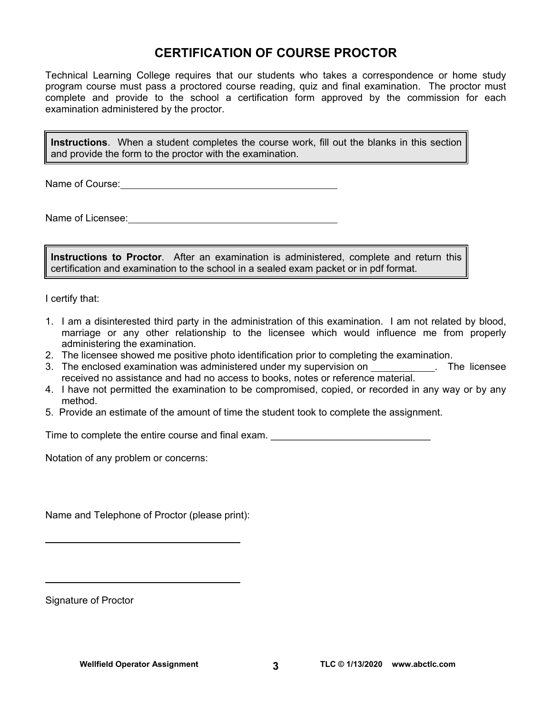## **CERTIFICATION OF COURSE PROCTOR**

Technical Learning College requires that our students who takes a correspondence or home study program course must pass a proctored course reading, quiz and final examination. The proctor must complete and provide to the school a certification form approved by the commission for each examination administered by the proctor.

**Instructions**. When a student completes the course work, fill out the blanks in this section and provide the form to the proctor with the examination.

Name of Course: **Name of Course:** 

Name of Licensee:

**Instructions to Proctor**. After an examination is administered, complete and return this certification and examination to the school in a sealed exam packet or in pdf format.

I certify that:

- 1. I am a disinterested third party in the administration of this examination. I am not related by blood, marriage or any other relationship to the licensee which would influence me from properly administering the examination.
- 2. The licensee showed me positive photo identification prior to completing the examination.
- 3. The enclosed examination was administered under my supervision on \_\_\_\_\_\_\_\_\_\_\_. The licensee received no assistance and had no access to books, notes or reference material.
- 4. I have not permitted the examination to be compromised, copied, or recorded in any way or by any method.
- 5. Provide an estimate of the amount of time the student took to complete the assignment.

Time to complete the entire course and final exam.

Notation of any problem or concerns:

Name and Telephone of Proctor (please print):

Signature of Proctor

 $\overline{a}$ 

 $\overline{a}$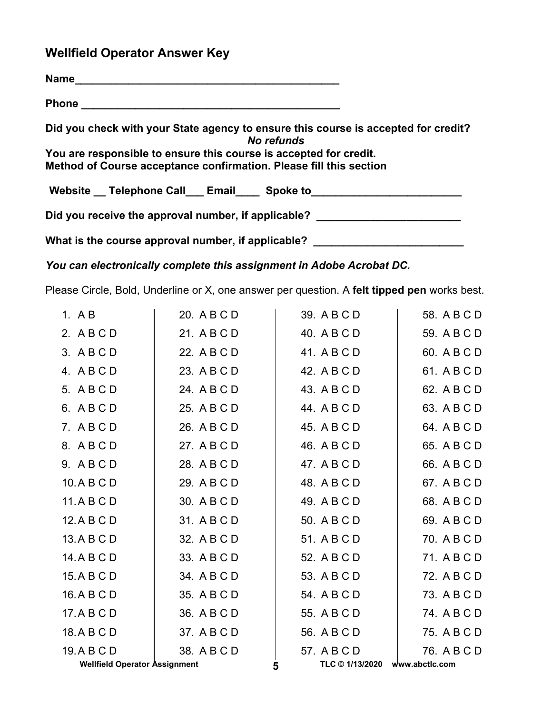## **Wellfield Operator Answer Key**

| Did you check with your State agency to ensure this course is accepted for credit?<br>No refunds |
|--------------------------------------------------------------------------------------------------|
| You are responsible to ensure this course is accepted for credit.                                |
| Method of Course acceptance confirmation. Please fill this section                               |
| Website __ Telephone Call ___ Email ____ Spoke to ______________________________                 |
| Did you receive the approval number, if applicable? ____________________________                 |
| What is the course approval number, if applicable? _____________________________                 |

*You can electronically complete this assignment in Adobe Acrobat DC.* 

Please Circle, Bold, Underline or X, one answer per question. A **felt tipped pen** works best.

| 1. $AB$                              | 20. A B C D |   | 39. A B C D                    | 58. A B C D |
|--------------------------------------|-------------|---|--------------------------------|-------------|
| 2. ABCD                              | 21. A B C D |   | 40. A B C D                    | 59. A B C D |
| 3. ABCD                              | 22. A B C D |   | 41. A B C D                    | 60. A B C D |
| 4. ABCD                              | 23. A B C D |   | 42. A B C D                    | 61. A B C D |
| 5. ABCD                              | 24. A B C D |   | 43. A B C D                    | 62. A B C D |
| 6. ABCD                              | 25. A B C D |   | 44. A B C D                    | 63. A B C D |
| 7. ABCD                              | 26. A B C D |   | 45. A B C D                    | 64. A B C D |
| 8. ABCD                              | 27. A B C D |   | 46. A B C D                    | 65. A B C D |
| 9. ABCD                              | 28. A B C D |   | 47. A B C D                    | 66. A B C D |
| 10.ABCD                              | 29. A B C D |   | 48. A B C D                    | 67. A B C D |
| 11.ABCD                              | 30. A B C D |   | 49. A B C D                    | 68. A B C D |
| 12.ABCD                              | 31. A B C D |   | 50. A B C D                    | 69. A B C D |
| 13.A B C D                           | 32. A B C D |   | 51. A B C D                    | 70. A B C D |
| 14.ABCD                              | 33. A B C D |   | 52. A B C D                    | 71. A B C D |
| 15.ABCD                              | 34. A B C D |   | 53. A B C D                    | 72. A B C D |
| 16.ABCD                              | 35. A B C D |   | 54. A B C D                    | 73. A B C D |
| 17.ABCD                              | 36. A B C D |   | 55. A B C D                    | 74. A B C D |
| 18.ABCD                              | 37. A B C D |   | 56. A B C D                    | 75. A B C D |
| 19. A B C D                          | 38. A B C D |   | 57. A B C D                    | 76. A B C D |
| <b>Wellfield Operator Assignment</b> |             | 5 | TLC © 1/13/2020 www.abctlc.com |             |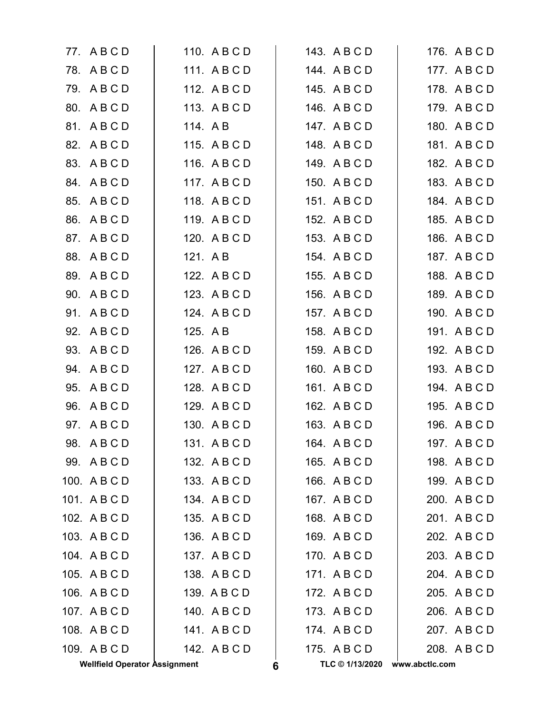|     | <b>Wellfield Operator Assignment</b> |              | 6 | TLC © 1/13/2020 | www.abctlc.com |
|-----|--------------------------------------|--------------|---|-----------------|----------------|
|     | 109. A B C D                         | 142. A B C D |   | 175. ABCD       | 208. A B C D   |
|     | 108. A B C D                         | 141. ABCD    |   | 174. ABCD       | 207. A B C D   |
|     | 107. A B C D                         | 140. A B C D |   | 173. A B C D    | 206. A B C D   |
|     | 106. A B C D                         | 139. A B C D |   | 172. A B C D    | 205. A B C D   |
|     | 105. A B C D                         | 138. A B C D |   | 171. ABCD       | 204. ABCD      |
|     | 104. A B C D                         | 137. A B C D |   | 170. ABCD       | 203. A B C D   |
|     | 103. A B C D                         | 136. A B C D |   | 169. ABCD       | 202. A B C D   |
|     | 102. A B C D                         | 135. A B C D |   | 168. A B C D    | 201. A B C D   |
|     | 101. ABCD                            | 134. A B C D |   | 167. ABCD       | 200. A B C D   |
|     | 100. ABCD                            | 133. A B C D |   | 166. A B C D    | 199. ABCD      |
|     | 99. ABCD                             | 132. A B C D |   | 165. A B C D    | 198. A B C D   |
|     | 98. ABCD                             | 131. ABCD    |   | 164. A B C D    | 197. A B C D   |
|     | 97. A B C D                          | 130. A B C D |   | 163. A B C D    | 196. A B C D   |
| 96. | ABCD                                 | 129. A B C D |   | 162. A B C D    | 195. A B C D   |
| 95. | ABCD                                 | 128. A B C D |   | 161. A B C D    | 194. A B C D   |
|     | 94. ABCD                             | 127. A B C D |   | 160. A B C D    | 193. A B C D   |
| 93. | ABCD                                 | 126. A B C D |   | 159. A B C D    | 192. A B C D   |
|     | 92. A B C D                          | 125. A B     |   | 158. A B C D    | 191. A B C D   |
|     | 91. A B C D                          | 124. A B C D |   | 157. A B C D    | 190. A B C D   |
| 90. | ABCD                                 | 123. A B C D |   | 156. A B C D    | 189. A B C D   |
| 89. | ABCD                                 | 122. A B C D |   | 155. A B C D    | 188. A B C D   |
|     | 88. A B C D                          | 121. AB      |   | 154. A B C D    | 187. A B C D   |
|     | 87. A B C D                          | 120. A B C D |   | 153. A B C D    | 186. A B C D   |
| 86. | ABCD                                 | 119. A B C D |   | 152. A B C D    | 185. A B C D   |
| 85. | ABCD                                 | 118. A B C D |   | 151. ABCD       | 184. A B C D   |
|     | 84. A B C D                          | 117. ABCD    |   | 150. A B C D    | 183. A B C D   |
|     | 83. A B C D                          | 116. A B C D |   | 149. A B C D    | 182. A B C D   |
| 82. | ABCD                                 | 115. A B C D |   | 148. ABCD       | 181. ABCD      |
| 81. | ABCD                                 | 114. AB      |   | 147. ABCD       | 180. A B C D   |
|     | 80. A B C D                          | 113. ABCD    |   | 146. ABCD       | 179. A B C D   |
|     | 79. ABCD                             | 112. A B C D |   | 145. A B C D    | 178. A B C D   |
|     | 78. ABCD                             | 111. ABCD    |   | 144. ABCD       | 177. ABCD      |
|     | 77. ABCD                             | 110. A B C D |   | 143. ABCD       | 176. A B C D   |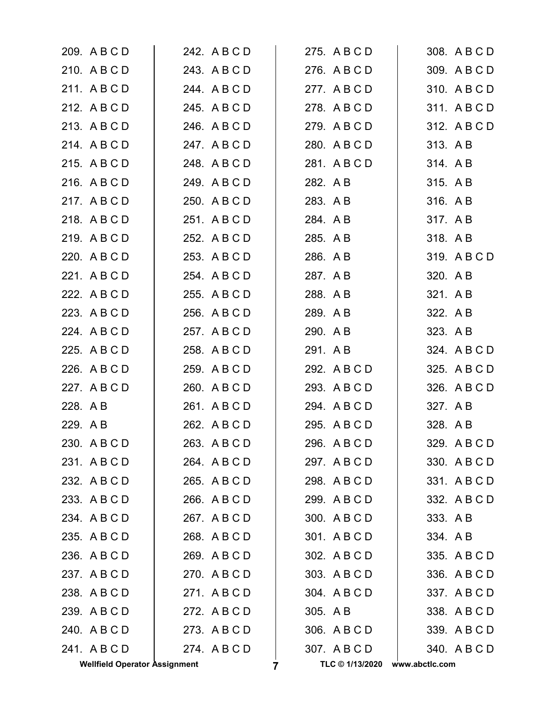|                     | <b>Wellfield Operator Assignment</b> |                              | 7 | TLC © 1/13/2020              | www.abctlc.com |                          |
|---------------------|--------------------------------------|------------------------------|---|------------------------------|----------------|--------------------------|
|                     | 241. ABCD                            | 274. ABCD                    |   | 307. ABCD                    |                | 340. A B C D             |
|                     | 240. A B C D                         | 273. ABCD                    |   | 306. A B C D                 |                | 339. A B C D             |
|                     | 239. ABCD                            | 272. A B C D                 |   | 305. A B                     |                | 338. A B C D             |
|                     | 238. A B C D                         | 271. ABCD                    |   | 304. A B C D                 |                | 337. A B C D             |
|                     | 237. ABCD                            | 270. ABCD                    |   | 303. A B C D                 |                | 336. A B C D             |
|                     | 236. A B C D                         | 269. A B C D                 |   | 302. A B C D                 |                | 335. A B C D             |
|                     | 235. A B C D                         | 268. A B C D                 |   | 301. ABCD                    |                | 334. AB                  |
|                     | 234. A B C D                         | 267. ABCD                    |   | 300. A B C D                 |                | 333. AB                  |
|                     | 233. A B C D                         | 266. A B C D                 |   | 299. A B C D                 |                | 332. A B C D             |
|                     | 232. A B C D                         | 265. A B C D                 |   | 298. A B C D                 |                | 331. ABCD                |
|                     | 231. ABCD                            | 264. A B C D                 |   | 297. A B C D                 |                | 330. A B C D             |
|                     | 230. A B C D                         | 263. A B C D                 |   | 296. A B C D                 |                | 329. A B C D             |
| 228. A B<br>229. AB |                                      | 261. A B C D<br>262. A B C D |   | 294. A B C D<br>295. A B C D |                | 327. A B<br>328. A B     |
|                     |                                      |                              |   |                              |                |                          |
|                     | 227. A B C D                         | 260. A B C D                 |   | 293. A B C D                 |                | 326. A B C D             |
|                     | 226. A B C D                         | 259. A B C D                 |   | 292. A B C D                 |                | 325. A B C D             |
|                     | 224. A B C D<br>225. A B C D         | 257. A B C D<br>258. A B C D |   | 290. A B<br>291. AB          |                | 323. A B<br>324. A B C D |
|                     | 223. A B C D                         | 256. A B C D                 |   | 289. AB                      |                | 322. A B                 |
|                     | 222. A B C D                         | 255. A B C D                 |   | 288. A B                     |                | 321. A B                 |
|                     | 221. A B C D                         | 254. ABCD                    |   | 287. A B                     |                | 320. A B                 |
|                     | 220. A B C D                         | 253. A B C D                 |   | 286. A B                     |                | 319. A B C D             |
|                     | 219. ABCD                            | 252. A B C D                 |   | 285. A B                     | 318. AB        |                          |
|                     | 218. ABCD                            | 251. A B C D                 |   | 284. A B                     | 317. AB        |                          |
|                     | 217. A B C D                         | 250. A B C D                 |   | 283. A B                     |                | 316. AB                  |
|                     | 216. A B C D                         | 249. A B C D                 |   | 282. A B                     | 315. AB        |                          |
|                     | 215. A B C D                         | 248. A B C D                 |   | 281. ABCD                    |                | 314. AB                  |
|                     | 214. ABCD                            | 247. A B C D                 |   | 280. A B C D                 |                | 313. AB                  |
|                     | 213. A B C D                         | 246. A B C D                 |   | 279. A B C D                 |                | 312. A B C D             |
|                     | 212. A B C D                         | 245. ABCD                    |   | 278. A B C D                 |                | 311. A B C D             |
|                     | 211. ABCD                            | 244. A B C D                 |   | 277. ABCD                    |                | 310. A B C D             |
|                     | 210. A B C D                         | 243. A B C D                 |   | 276. A B C D                 |                | 309. A B C D             |
|                     | 209. A B C D                         | 242. A B C D                 |   | 275. A B C D                 |                | 308. A B C D             |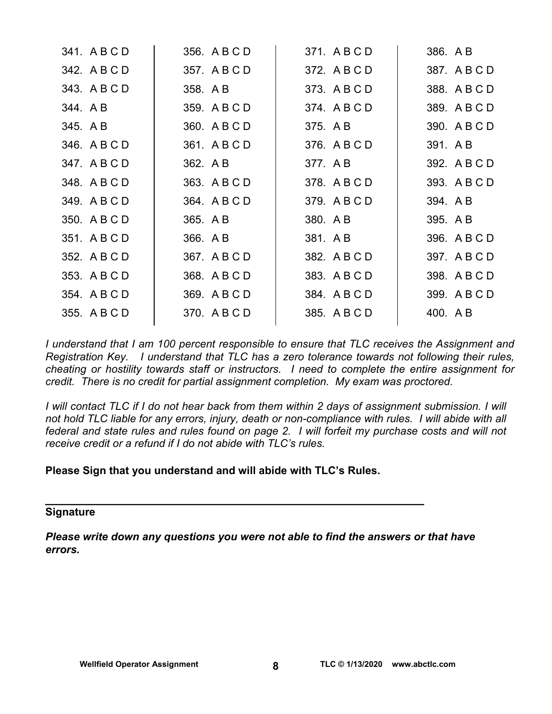| 341. A B C D | 356. A B C D | 371. A B C D | 386. A B     |
|--------------|--------------|--------------|--------------|
| 342. A B C D | 357. A B C D | 372. A B C D | 387. A B C D |
| 343. A B C D | 358. A B     | 373. A B C D | 388. A B C D |
| 344. AB      | 359. A B C D | 374. A B C D | 389. A B C D |
| 345. A B     | 360. A B C D | 375. A B     | 390. A B C D |
| 346. A B C D | 361. A B C D | 376. A B C D | 391. A B     |
| 347. A B C D | 362. A B     | 377. A B     | 392. A B C D |
| 348. A B C D | 363. A B C D | 378. A B C D | 393. A B C D |
| 349. A B C D | 364. A B C D | 379. A B C D | 394. A B     |
| 350. A B C D | 365. A B     | 380. A B     | 395. A B     |
| 351. A B C D | 366. A B     | 381. A B     | 396. A B C D |
| 352. A B C D | 367. A B C D | 382. A B C D | 397. A B C D |
| 353. A B C D | 368. A B C D | 383. A B C D | 398. A B C D |
| 354. A B C D | 369. A B C D | 384. A B C D | 399. A B C D |
| 355. A B C D | 370. A B C D | 385. A B C D | 400. A B     |
|              |              |              |              |

*I understand that I am 100 percent responsible to ensure that TLC receives the Assignment and Registration Key. I understand that TLC has a zero tolerance towards not following their rules, cheating or hostility towards staff or instructors. I need to complete the entire assignment for credit. There is no credit for partial assignment completion. My exam was proctored.* 

*I* will contact TLC if I do not hear back from them within 2 days of assignment submission. I will *not hold TLC liable for any errors, injury, death or non-compliance with rules. I will abide with all federal and state rules and rules found on page 2. I will forfeit my purchase costs and will not receive credit or a refund if I do not abide with TLC's rules.* 

#### **Please Sign that you understand and will abide with TLC's Rules.**

**\_\_\_\_\_\_\_\_\_\_\_\_\_\_\_\_\_\_\_\_\_\_\_\_\_\_\_\_\_\_\_\_\_\_\_\_\_\_\_\_\_\_\_\_\_\_\_\_\_\_\_\_\_\_** 

#### **Signature**

*Please write down any questions you were not able to find the answers or that have errors.*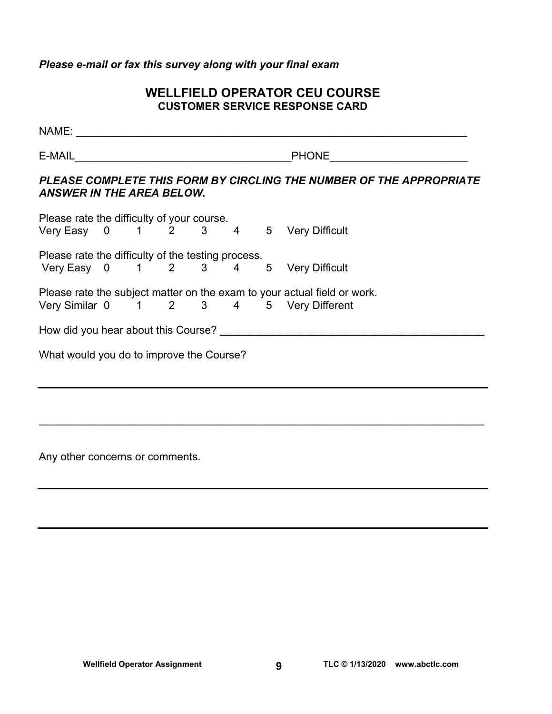*Please e-mail or fax this survey along with your final exam* 

## **WELLFIELD OPERATOR CEU COURSE CUSTOMER SERVICE RESPONSE CARD**

| $E-MAIL$                                           |  |  |  |  |  | <b>PHONE Example 2019</b>                                                                                           |
|----------------------------------------------------|--|--|--|--|--|---------------------------------------------------------------------------------------------------------------------|
| <b>ANSWER IN THE AREA BELOW.</b>                   |  |  |  |  |  | PLEASE COMPLETE THIS FORM BY CIRCLING THE NUMBER OF THE APPROPRIATE                                                 |
|                                                    |  |  |  |  |  | Please rate the difficulty of your course.<br>Very Easy 0 1 2 3 4 5 Very Difficult                                  |
| Please rate the difficulty of the testing process. |  |  |  |  |  | Very Easy 0 1 2 3 4 5 Very Difficult                                                                                |
|                                                    |  |  |  |  |  | Please rate the subject matter on the exam to your actual field or work.<br>Very Similar 0 1 2 3 4 5 Very Different |
|                                                    |  |  |  |  |  | How did you hear about this Course?                                                                                 |
| What would you do to improve the Course?           |  |  |  |  |  |                                                                                                                     |
|                                                    |  |  |  |  |  |                                                                                                                     |
|                                                    |  |  |  |  |  |                                                                                                                     |

 $\mathcal{L}_\mathcal{L} = \mathcal{L}_\mathcal{L} = \mathcal{L}_\mathcal{L} = \mathcal{L}_\mathcal{L} = \mathcal{L}_\mathcal{L} = \mathcal{L}_\mathcal{L} = \mathcal{L}_\mathcal{L} = \mathcal{L}_\mathcal{L} = \mathcal{L}_\mathcal{L} = \mathcal{L}_\mathcal{L} = \mathcal{L}_\mathcal{L} = \mathcal{L}_\mathcal{L} = \mathcal{L}_\mathcal{L} = \mathcal{L}_\mathcal{L} = \mathcal{L}_\mathcal{L} = \mathcal{L}_\mathcal{L} = \mathcal{L}_\mathcal{L}$ 

Any other concerns or comments.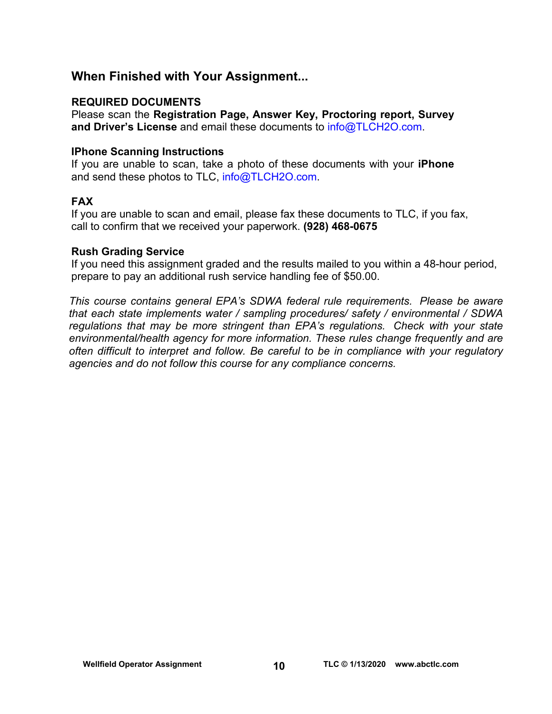## **When Finished with Your Assignment...**

### **REQUIRED DOCUMENTS**

Please scan the **Registration Page, Answer Key, Proctoring report, Survey and Driver's License** and email these documents to [info@TLCH2O.com.](mailto:info@TLCH2O.com) 

#### **IPhone Scanning Instructions**

If you are unable to scan, take a photo of these documents with your **iPhone** and send these photos to TLC, info@TLCH2O.com.

### **FAX**

If you are unable to scan and email, please fax these documents to TLC, if you fax, call to confirm that we received your paperwork. **(928) 468-0675** 

#### **Rush Grading Service**

If you need this assignment graded and the results mailed to you within a 48-hour period, prepare to pay an additional rush service handling fee of \$50.00.

*This course contains general EPA's SDWA federal rule requirements. Please be aware that each state implements water / sampling procedures/ safety / environmental / SDWA regulations that may be more stringent than EPA's regulations. Check with your state environmental/health agency for more information. These rules change frequently and are often difficult to interpret and follow. Be careful to be in compliance with your regulatory agencies and do not follow this course for any compliance concerns.*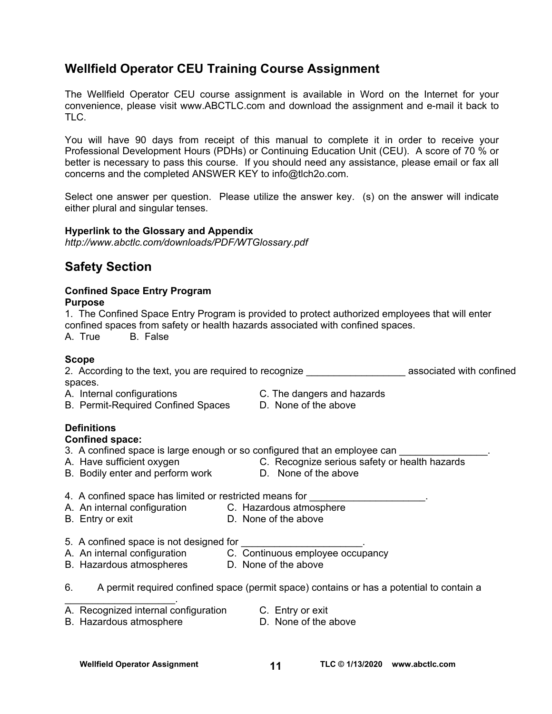## **Wellfield Operator CEU Training Course Assignment**

The Wellfield Operator CEU course assignment is available in Word on the Internet for your convenience, please visit [www.ABCTLC.com an](http://www.ABCTLC.com)d download the assignment and e-mail it back to TLC.

You will have 90 days from receipt of this manual to complete it in order to receive your Professional Development Hours (PDHs) or Continuing Education Unit (CEU). A score of 70 % or better is necessary to pass this course. If you should need any assistance, please email or fax all concerns and the completed ANSWER KEY to [info@tlch2o.com.](mailto:info@tlch2o.com) 

Select one answer per question. Please utilize the answer key. (s) on the answer will indicate either plural and singular tenses.

#### **Hyperlink to the Glossary and Appendix**

*<http://www.abctlc.com/downloads/PDF/WTGlossary.pdf>*

## **Safety Section**

#### **Confined Space Entry Program**

#### **Purpose**

1. The Confined Space Entry Program is provided to protect authorized employees that will enter confined spaces from safety or health hazards associated with confined spaces. A. True B. False

#### **Scope**

2. According to the text, you are required to recognize \_\_\_\_\_\_\_\_\_\_\_\_\_\_\_\_\_\_\_\_\_\_\_\_ associated with confined spaces.

- 
- B. Permit-Required Confined Spaces D. None of the above
- A. Internal configurations C. The dangers and hazards
	-

#### **Definitions**

#### **Confined space:**

- 3. A confined space is large enough or so configured that an employee can
- 
- B. Bodily enter and perform work D. None of the above
- A. Have sufficient oxygen **C. Recognize serious safety or health hazards** 
	-

#### 4. A confined space has limited or restricted means for

- A. An internal configuration C.Hazardous atmosphere
	-
- 
- B. Entry or exit  $\overrightarrow{D}$ . None of the above
- 5. A confined space is not designed for
- A. An internal configuration C. Continuous employee occupancy
- 
- 
- B. Hazardous atmospheres D. None of the above
- 6. A permit required confined space (permit space) contains or has a potential to contain a
- A. Recognized internal configuration C. Entry or exit
	-
- B. Hazardous atmosphere **D.** None of the above

 $\mathcal{L}_\text{max}$  and  $\mathcal{L}_\text{max}$  and  $\mathcal{L}_\text{max}$ 

Wellfield Operator Assignment **11** 11 TLC © 1/13/2020 www.abctlc.com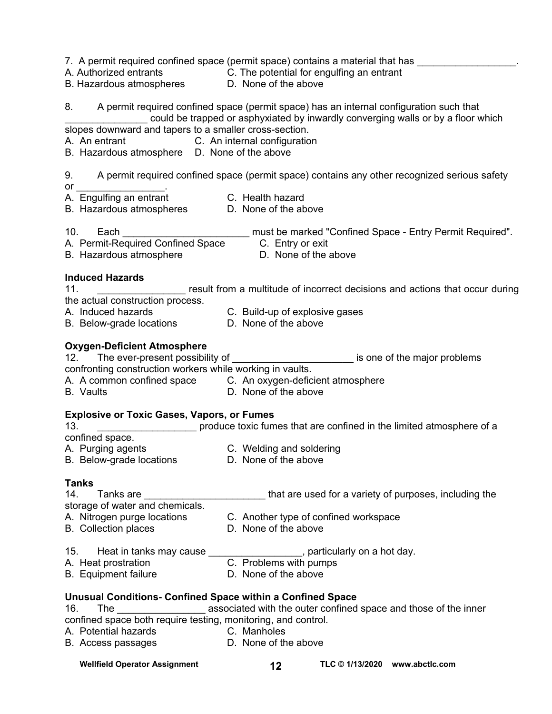|                                                                                           | 7. A permit required confined space (permit space) contains a material that has _________________.                                                                             |
|-------------------------------------------------------------------------------------------|--------------------------------------------------------------------------------------------------------------------------------------------------------------------------------|
|                                                                                           |                                                                                                                                                                                |
|                                                                                           | A. Authorized entrants       C. The potential for engulfing an entrant<br>B. Hazardous atmospheres      D.  None of the above                                                  |
|                                                                                           | 8. A permit required confined space (permit space) has an internal configuration such that<br>could be trapped or asphyxiated by inwardly converging walls or by a floor which |
| slopes downward and tapers to a smaller cross-section.                                    |                                                                                                                                                                                |
| A. An entrant C. An internal configuration                                                |                                                                                                                                                                                |
| B. Hazardous atmosphere D. None of the above                                              |                                                                                                                                                                                |
| or _________________________                                                              | 9. A permit required confined space (permit space) contains any other recognized serious safety                                                                                |
|                                                                                           |                                                                                                                                                                                |
| A. Engulfing an entrant C. Health hazard<br>B. Hazardous atmospheres D. None of the above |                                                                                                                                                                                |
|                                                                                           |                                                                                                                                                                                |
|                                                                                           |                                                                                                                                                                                |
|                                                                                           |                                                                                                                                                                                |
| <b>Induced Hazards</b>                                                                    |                                                                                                                                                                                |
| 11.                                                                                       | result from a multitude of incorrect decisions and actions that occur during                                                                                                   |
| the actual construction process.                                                          |                                                                                                                                                                                |
|                                                                                           |                                                                                                                                                                                |
|                                                                                           |                                                                                                                                                                                |
| <b>Oxygen-Deficient Atmosphere</b>                                                        |                                                                                                                                                                                |
|                                                                                           | 12. The ever-present possibility of _______________________________ is one of the major problems                                                                               |
| confronting construction workers while working in vaults.                                 |                                                                                                                                                                                |
|                                                                                           | A. A common confined space C. An oxygen-deficient atmosphere                                                                                                                   |
| <b>B.</b> Vaults                                                                          | D. None of the above                                                                                                                                                           |
| <b>Explosive or Toxic Gases, Vapors, or Fumes</b>                                         |                                                                                                                                                                                |
| 13.                                                                                       | produce toxic fumes that are confined in the limited atmosphere of a                                                                                                           |
| confined space.                                                                           |                                                                                                                                                                                |
| A. Purging agents <b>C. Welding and soldering</b>                                         |                                                                                                                                                                                |
| B. Below-grade locations D. None of the above                                             |                                                                                                                                                                                |
| Tanks                                                                                     |                                                                                                                                                                                |
| 14. Tanks are __________________________<br>storage of water and chemicals.               | that are used for a variety of purposes, including the                                                                                                                         |
|                                                                                           |                                                                                                                                                                                |
|                                                                                           | A. Nitrogen purge locations C. Another type of confined workspace                                                                                                              |
| <b>B.</b> Collection places                                                               | D. None of the above                                                                                                                                                           |
|                                                                                           | 15. Heat in tanks may cause $\frac{1}{100}$ , particularly on a hot day.<br>A. Heat prostration $\frac{1}{100}$ C. Problems with pumps                                         |
|                                                                                           |                                                                                                                                                                                |
| <b>B.</b> Equipment failure                                                               | D. None of the above                                                                                                                                                           |
| Unusual Conditions- Confined Space within a Confined Space                                |                                                                                                                                                                                |
| 16.                                                                                       | The ________________________ associated with the outer confined space and those of the inner                                                                                   |
| confined space both require testing, monitoring, and control.                             |                                                                                                                                                                                |
| A. Potential hazards <b>Exercise C. Manholes</b>                                          |                                                                                                                                                                                |
| B. Access passages                                                                        | D. None of the above                                                                                                                                                           |
|                                                                                           |                                                                                                                                                                                |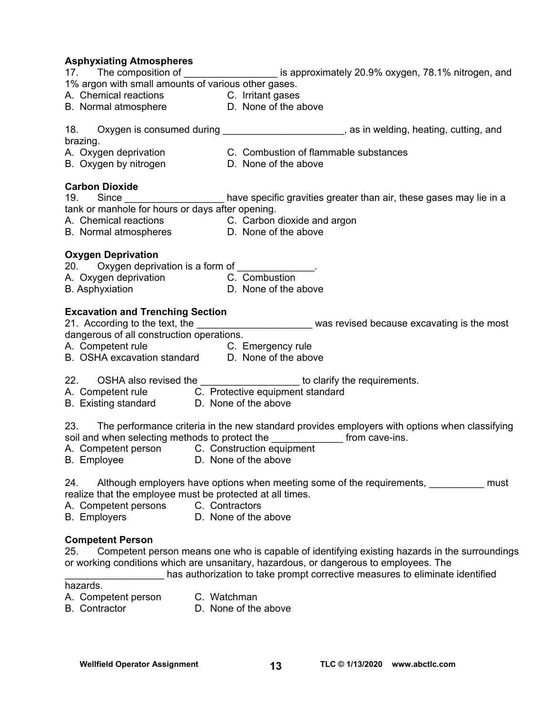#### **Asphyxiating Atmospheres**

| aspriyalating Atmospheres<br>17. The composition of ____________________ is approximately 20.9% oxygen, 78.1% nitrogen, and                                                                                                                                                                              |
|----------------------------------------------------------------------------------------------------------------------------------------------------------------------------------------------------------------------------------------------------------------------------------------------------------|
| 1% argon with small amounts of various other gases.                                                                                                                                                                                                                                                      |
| A. Chemical reactions C. Irritant gases                                                                                                                                                                                                                                                                  |
| B. Normal atmosphere D. None of the above                                                                                                                                                                                                                                                                |
| 18. Oxygen is consumed during _________________________, as in welding, heating, cutting, and<br>brazing.                                                                                                                                                                                                |
| A. Oxygen deprivation C. Combustion of flammable substances<br>B. Oxygen by nitrogen D. None of the above                                                                                                                                                                                                |
| <b>Carbon Dioxide</b><br>19. Since _____________________ have specific gravities greater than air, these gases may lie in a                                                                                                                                                                              |
| tank or manhole for hours or days after opening.                                                                                                                                                                                                                                                         |
|                                                                                                                                                                                                                                                                                                          |
| A. Chemical reactions C. Carbon dioxide and argon<br>B. Normal atmospheres D. None of the above                                                                                                                                                                                                          |
| <b>Oxygen Deprivation</b><br>20. Oxygen deprivation is a form of _____________.<br>A. Oxygen deprivation<br>B. Asphyxiation  B. Asphyxiation  B. Asphyxiation  B. Asphyxiation  B. Asphyxiation  B. Asphyxiation  B. Asphyxiation  B. Asphyxiation  Asphyxiation $\frac{1}{2}$                           |
| <b>Excavation and Trenching Section</b><br>21. According to the text, the ____________________________ was revised because excavating is the most dangerous of all construction operations.<br>A. Competent rule C. Emergency rule<br>B. OSHA excavation standard D. None of the above                   |
| 22. OSHA also revised the ___________________ to clarify the requirements.                                                                                                                                                                                                                               |
| A. Competent rule C. Protective equipment standard<br>B. Existing standard D. None of the above                                                                                                                                                                                                          |
| 23. The performance criteria in the new standard provides employers with options when classifying<br>soil and when selecting methods to protect the _________________ from cave-ins.<br>A. Competent person C. Construction equipment<br>B. Employee D. None of the above                                |
| Although employers have options when meeting some of the requirements,<br>24.<br>must<br>realize that the employee must be protected at all times.<br>A. Competent persons<br>C. Contractors                                                                                                             |
| D. None of the above<br><b>B.</b> Employers                                                                                                                                                                                                                                                              |
| <b>Competent Person</b><br>Competent person means one who is capable of identifying existing hazards in the surroundings<br>25.<br>or working conditions which are unsanitary, hazardous, or dangerous to employees. The<br>has authorization to take prompt corrective measures to eliminate identified |

hazards.

- A. Competent person C. Watchman
- B. Contractor **D. None of the above**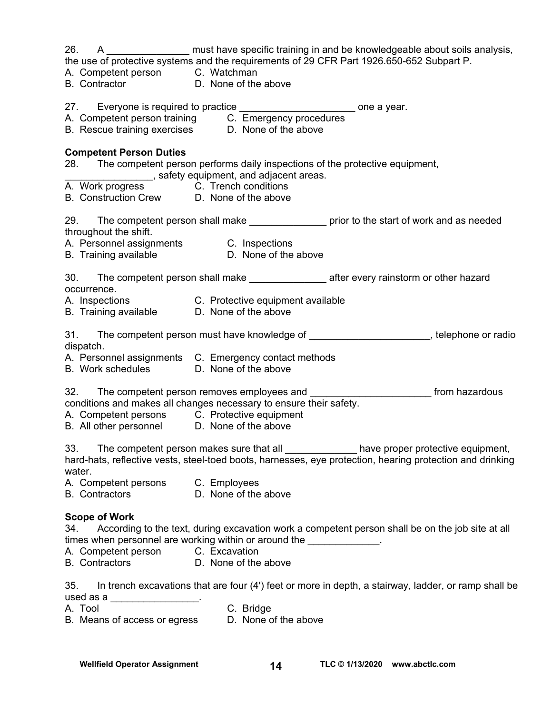| A ____________________ must have specific training in and be knowledgeable about soils analysis,<br>26.<br>the use of protective systems and the requirements of 29 CFR Part 1926.650-652 Subpart P.          |
|---------------------------------------------------------------------------------------------------------------------------------------------------------------------------------------------------------------|
| A. Competent person C. Watchman<br>B. Contractor D. None of the above                                                                                                                                         |
|                                                                                                                                                                                                               |
| 27. Everyone is required to practice _____________________________ one a year.                                                                                                                                |
| A. Competent person training C. Emergency procedures                                                                                                                                                          |
| B. Rescue training exercises D. None of the above                                                                                                                                                             |
| <b>Competent Person Duties</b>                                                                                                                                                                                |
| 28. The competent person performs daily inspections of the protective equipment,<br>____________________, safety equipment, and adjacent areas.                                                               |
| A. Work progress C. Trench conditions                                                                                                                                                                         |
| B. Construction Crew D. None of the above                                                                                                                                                                     |
| 29. The competent person shall make _________________ prior to the start of work and as needed<br>throughout the shift.                                                                                       |
|                                                                                                                                                                                                               |
|                                                                                                                                                                                                               |
| 30. The competent person shall make ____________________ after every rainstorm or other hazard<br>occurrence.                                                                                                 |
| A. Inspections C. Protective equipment available                                                                                                                                                              |
| B. Training available D. None of the above                                                                                                                                                                    |
| The competent person must have knowledge of _________________________, telephone or radio<br>31.<br>dispatch.                                                                                                 |
| A. Personnel assignments C. Emergency contact methods<br>B. Work schedules D. None of the above                                                                                                               |
|                                                                                                                                                                                                               |
| 32. The competent person removes employees and ___________________________ from hazardous                                                                                                                     |
| conditions and makes all changes necessary to ensure their safety.<br>A. Competent persons C. Protective equipment                                                                                            |
| B. All other personnel D. None of the above                                                                                                                                                                   |
| The competent person makes sure that all ______________ have proper protective equipment,<br>33.<br>hard-hats, reflective vests, steel-toed boots, harnesses, eye protection, hearing protection and drinking |
| water.                                                                                                                                                                                                        |
| A. Competent persons C. Employees                                                                                                                                                                             |
| D. None of the above<br><b>B.</b> Contractors                                                                                                                                                                 |
| <b>Scope of Work</b><br>According to the text, during excavation work a competent person shall be on the job site at all<br>34.<br>times when personnel are working within or around the _____________.       |
| A. Competent person C. Excavation                                                                                                                                                                             |
| B. Contractors D. None of the above                                                                                                                                                                           |
| 35.<br>In trench excavations that are four (4') feet or more in depth, a stairway, ladder, or ramp shall be<br>used as a ___________________.                                                                 |
| C. Bridge<br>A. Tool                                                                                                                                                                                          |
| B. Means of access or egress D. None of the above                                                                                                                                                             |

Wellfield Operator Assignment **14** TLC © 1/13/2020 www.abctlc.com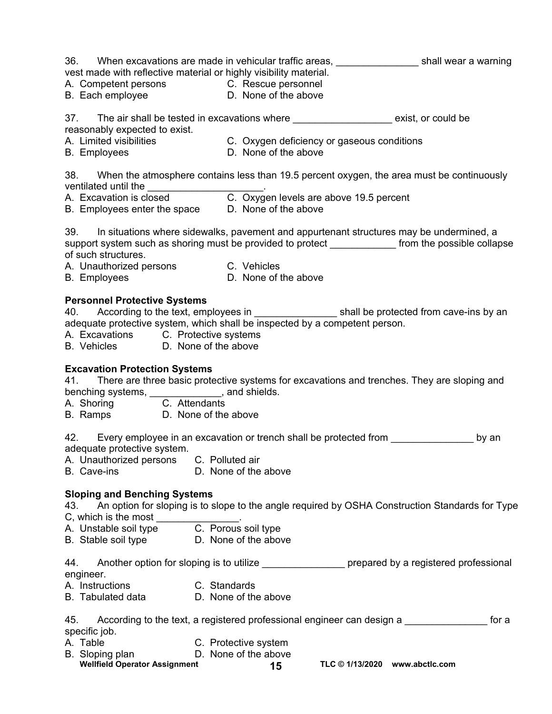| vest made with reflective material or highly visibility material.<br>A. Competent persons C. Rescue personnel<br>B. Each employee B. None of the above                                  |                      | 36. When excavations are made in vehicular traffic areas, <u>contanal communities</u> shall wear a warning                                                                                          |
|-----------------------------------------------------------------------------------------------------------------------------------------------------------------------------------------|----------------------|-----------------------------------------------------------------------------------------------------------------------------------------------------------------------------------------------------|
| 37. The air shall be tested in excavations where _____________________ exist, or could be                                                                                               |                      |                                                                                                                                                                                                     |
| reasonably expected to exist.                                                                                                                                                           |                      |                                                                                                                                                                                                     |
| A. Limited visibilities C. Oxygen deficiency or gaseous conditions<br>B. Employees <b>D. None of the above</b>                                                                          |                      |                                                                                                                                                                                                     |
|                                                                                                                                                                                         |                      |                                                                                                                                                                                                     |
| ventilated until the <u>contact controlled the contribution of the contribution of the section of the above 19.5 percent<br/>B. Employees enter the space contribution of the above</u> |                      | 38. When the atmosphere contains less than 19.5 percent oxygen, the area must be continuously                                                                                                       |
|                                                                                                                                                                                         |                      |                                                                                                                                                                                                     |
|                                                                                                                                                                                         |                      |                                                                                                                                                                                                     |
| of such structures.<br>A. Unauthorized persons C. Vehicles<br>B. Employees B. None of the above                                                                                         |                      | 39. In situations where sidewalks, pavement and appurtenant structures may be undermined, a<br>support system such as shoring must be provided to protect ______________ from the possible collapse |
|                                                                                                                                                                                         |                      |                                                                                                                                                                                                     |
| <b>Personnel Protective Systems</b>                                                                                                                                                     |                      |                                                                                                                                                                                                     |
|                                                                                                                                                                                         |                      | 40. According to the text, employees in _______________________shall be protected from cave-ins by an                                                                                               |
| adequate protective system, which shall be inspected by a competent person.                                                                                                             |                      |                                                                                                                                                                                                     |
| A. Excavations C. Protective systems<br>B. Vehicles D. None of the above                                                                                                                |                      |                                                                                                                                                                                                     |
|                                                                                                                                                                                         |                      |                                                                                                                                                                                                     |
| <b>Excavation Protection Systems</b><br>benching systems, ______________, and shields.<br>A. Shoring comes C. Attendants                                                                |                      | 41. There are three basic protective systems for excavations and trenches. They are sloping and                                                                                                     |
| A. Shoring C. Attendants<br>B. Ramps D. None of the above                                                                                                                               |                      |                                                                                                                                                                                                     |
|                                                                                                                                                                                         |                      |                                                                                                                                                                                                     |
| 42. Every employee in an excavation or trench shall be protected from<br>adequate protective system.                                                                                    |                      | by an                                                                                                                                                                                               |
| A. Unauthorized persons C. Polluted air                                                                                                                                                 |                      |                                                                                                                                                                                                     |
| B. Cave-ins                                                                                                                                                                             | D. None of the above |                                                                                                                                                                                                     |
| <b>Sloping and Benching Systems</b><br>C, which is the most                                                                                                                             |                      | 43. An option for sloping is to slope to the angle required by OSHA Construction Standards for Type                                                                                                 |
| C, which is the most ________________.<br>A.  Unstable soil type    C.  Porous soil type                                                                                                |                      |                                                                                                                                                                                                     |
| B. Stable soil type D. None of the above                                                                                                                                                |                      |                                                                                                                                                                                                     |
| 44.<br>engineer.                                                                                                                                                                        |                      | Another option for sloping is to utilize _________________ prepared by a registered professional                                                                                                    |
| A. Instructions<br>C. Standards                                                                                                                                                         |                      |                                                                                                                                                                                                     |
| B. Tabulated data D. None of the above                                                                                                                                                  |                      |                                                                                                                                                                                                     |
| 45.<br>specific job.                                                                                                                                                                    |                      | According to the text, a registered professional engineer can design a subsequence of<br>for a                                                                                                      |
| A. Table                                                                                                                                                                                | C. Protective system |                                                                                                                                                                                                     |
| B. Sloping plan                                                                                                                                                                         | D. None of the above |                                                                                                                                                                                                     |
| <b>Wellfield Operator Assignment</b>                                                                                                                                                    | 15                   | TLC © 1/13/2020 www.abctlc.com                                                                                                                                                                      |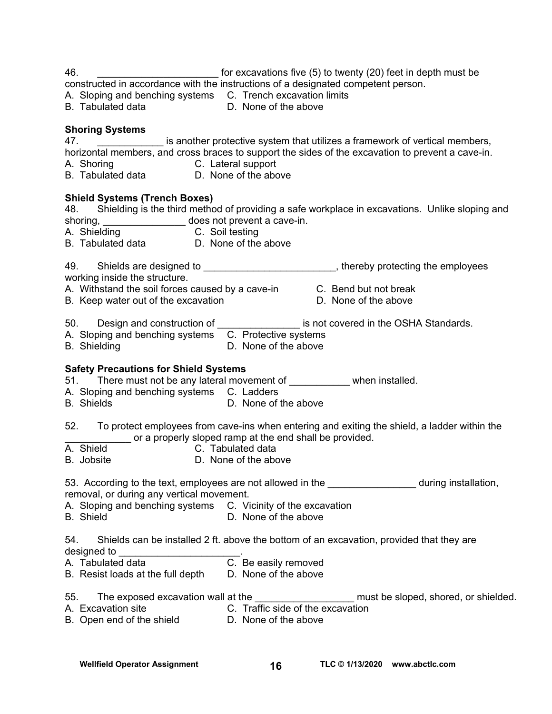46. \_\_\_\_\_\_\_\_\_\_\_\_\_\_\_\_\_\_\_\_\_\_ for excavations five (5) to twenty (20) feet in depth must be

constructed in accordance with the instructions of a designated competent person.

A. Sloping and benching systems C. Trench excavation limits

B. Tabulated data D. None of the above

#### **Shoring Systems**

47. \_\_\_\_\_\_\_\_\_\_\_\_ is another protective system that utilizes a framework of vertical members, horizontal members, and cross braces to support the sides of the excavation to prevent a cave-in.

- A. Shoring C. Lateral support
- B. Tabulated data D. None of the above

#### **Shield Systems (Trench Boxes)**

48. Shielding is the third method of providing a safe workplace in excavations. Unlike sloping and shoring, \_\_\_\_\_\_\_\_\_\_\_\_\_\_\_\_\_\_ does not prevent a cave-in. A. Shielding **C.** Soil testing B. Tabulated data D. None of the above 49. Shields are designed to \_\_\_\_\_\_\_\_\_\_\_\_\_\_\_\_\_\_\_\_\_\_\_, thereby protecting the employees working inside the structure. A. Withstand the soil forces caused by a cave-in C. Bend but not break B. Keep water out of the excavation **B.** D. None of the above 50. Design and construction of \_\_\_\_\_\_\_\_\_\_\_\_\_\_\_\_\_ is not covered in the OSHA Standards. A. Sloping and benching systems C. Protective systems B. Shielding **D. None of the above Safety Precautions for Shield Systems**  51. There must not be any lateral movement of when installed. A. Sloping and benching systems C. Ladders B. Shields **D.** None of the above 52. To protect employees from cave-ins when entering and exiting the shield, a ladder within the or a properly sloped ramp at the end shall be provided. A. Shield C. Tabulated data B. Jobsite D. None of the above 53. According to the text, employees are not allowed in the The Theodorium during installation, removal, or during any vertical movement. A. Sloping and benching systems C. Vicinity of the excavation B. Shield **D.** None of the above 54. Shields can be installed 2 ft. above the bottom of an excavation, provided that they are designed to \_\_\_\_\_\_\_\_\_\_\_\_\_\_\_\_\_\_\_\_\_\_. A. Tabulated data C. Be easily removed B. Resist loads at the full depth D. None of the above 55. The exposed excavation wall at the extending the state of the sloped, shored, or shielded. A. Excavation site C. Traffic side of the excavation B. Open end of the shield **D.** None of the above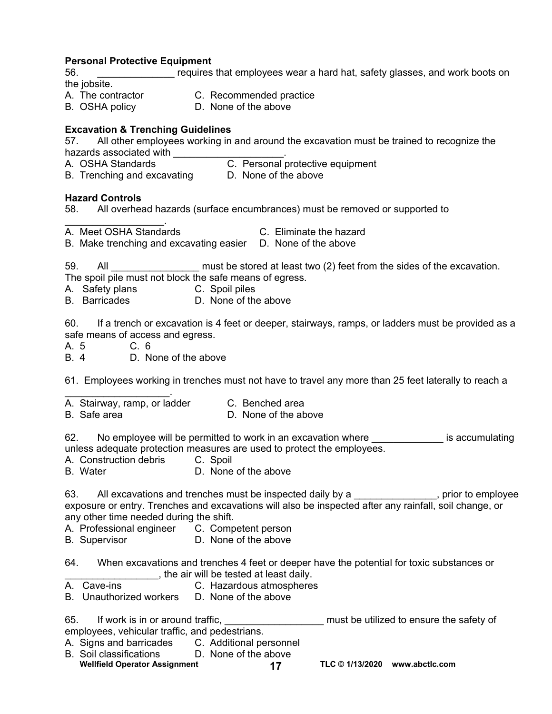#### **Personal Protective Equipment**

56. **Example 3** For that employees wear a hard hat, safety glasses, and work boots on the jobsite.

- A. The contractor C. Recommended practice
- B. OSHA policy D. None of the above

#### **Excavation & Trenching Guidelines**

57. All other employees working in and around the excavation must be trained to recognize the hazards associated with **with** with and a CHSHA Standards

- 
- C. Personal protective equipment

B. Trenching and excavating D. None of the above

#### **Hazard Controls**

58. All overhead hazards (surface encumbrances) must be removed or supported to

A. Meet OSHA Standards C. Eliminate the hazard

 $\mathcal{L}_\text{max}$  and  $\mathcal{L}_\text{max}$  and  $\mathcal{L}_\text{max}$ 

B. Make trenching and excavating easier D. None of the above

59. All \_\_\_\_\_\_\_\_\_\_\_\_\_\_\_\_\_\_ must be stored at least two (2) feet from the sides of the excavation.

- The spoil pile must not block the safe means of egress.
- A. Safety plans C. Spoil piles
- B. Barricades D. None of the above

60. If a trench or excavation is 4 feet or deeper, stairways, ramps, or ladders must be provided as a safe means of access and egress.

A. 5 C. 6

B. 4 D. None of the above

61. Employees working in trenches must not have to travel any more than 25 feet laterally to reach a

- $\mathcal{L}_\text{max}$  and  $\mathcal{L}_\text{max}$  and  $\mathcal{L}_\text{max}$ A. Stairway, ramp, or ladder C. Benched area
- B. Safe area **D.** None of the above

62. No employee will be permitted to work in an excavation where **the intervalled** is accumulating unless adequate protection measures are used to protect the employees.

A. Construction debris C. Spoil

B. Water D. None of the above

63. All excavations and trenches must be inspected daily by a \_\_\_\_\_\_\_\_\_\_\_\_\_\_, prior to employee exposure or entry. Trenches and excavations will also be inspected after any rainfall, soil change, or any other time needed during the shift.

- A. Professional engineer C. Competent person
- B. Supervisor **D. None of the above**

64. When excavations and trenches 4 feet or deeper have the potential for toxic substances or the air will be tested at least daily.<br>A. Cave-ins C. Hazardous atmospheres

- C. Hazardous atmospheres
- B. Unauthorized workers D. None of the above

65. If work is in or around traffic, the same state of the safety of the safety of employees, vehicular traffic, and pedestrians.

- A. Signs and barricades C. Additional personnel
- Wellfield Operator Assignment **17** TLC © 1/13/2020 www.abctlc.com B. Soil classifications D. None of the above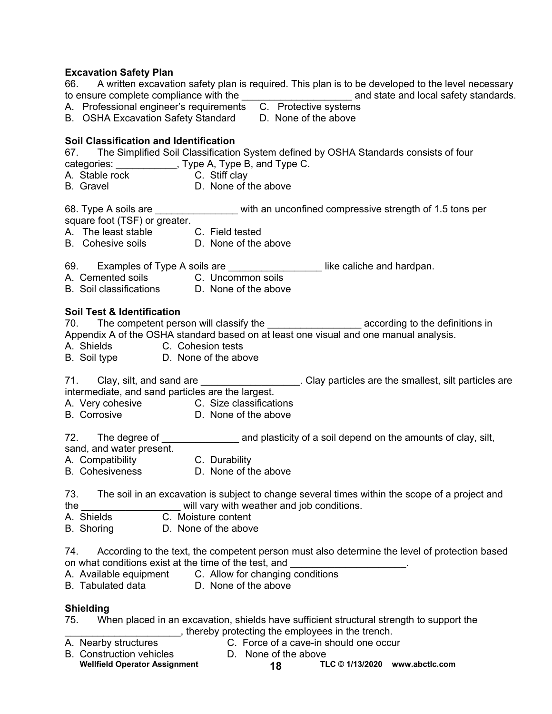#### **Excavation Safety Plan**

| 66. A written excavation safety plan is required. This plan is to be developed to the level necessary<br>A. Professional engineer's requirements C. Protective systems<br>B. OSHA Excavation Safety Standard D. None of the above                                                                         |
|-----------------------------------------------------------------------------------------------------------------------------------------------------------------------------------------------------------------------------------------------------------------------------------------------------------|
| Soil Classification and Identification<br>67. The Simplified Soil Classification System defined by OSHA Standards consists of four<br>categories: ____________, Type A, Type B, and Type C.<br>A. Stable rock C. Stiff clay<br>D. None of the above<br>B. Gravel <b>B.</b> Gravel                         |
| 68. Type A soils are ________________ with an unconfined compressive strength of 1.5 tons per<br>square foot (TSF) or greater.<br>A. The least stable C. Field tested<br>B. Cohesive soils B. None of the above                                                                                           |
| 69. Examples of Type A soils are ___________________like caliche and hardpan.<br>A. Cemented soils C. Uncommon soils<br>B. Soil classifications D. None of the above                                                                                                                                      |
| <b>Soil Test &amp; Identification</b><br>70. The competent person will classify the _______________________ according to the definitions in<br>Appendix A of the OSHA standard based on at least one visual and one manual analysis.<br>A. Shields C. Cohesion tests<br>B. Soil type D. None of the above |
| 71. Clay, silt, and sand are ____________________. Clay particles are the smallest, silt particles are<br>intermediate, and sand particles are the largest.<br>A. Very cohesive C. Size classifications<br>B. Corrosive D. None of the above                                                              |
| 72. The degree of ____________________ and plasticity of a soil depend on the amounts of clay, silt,<br>sand, and water present.<br>A. Compatibility<br>B. Cohesiveness<br>D. None of th<br>D. None of the above                                                                                          |
| The soil in an excavation is subject to change several times within the scope of a project and<br>73.<br>will vary with weather and job conditions.<br>the<br>A. Shields<br>C. Moisture content<br>D. None of the above<br>B. Shoring                                                                     |
| According to the text, the competent person must also determine the level of protection based<br>74.<br>on what conditions exist at the time of the test, and<br>C. Allow for changing conditions<br>A. Available equipment<br><b>B.</b> Tabulated data<br>D. None of the above                           |
| <b>Shielding</b><br>When placed in an excavation, shields have sufficient structural strength to support the<br>75.                                                                                                                                                                                       |

# Thereby protecting the employees in the trench.<br>A. Nearby structures C. Force of a cave-in should one occur-

- 
- C. Force of a cave-in should one occur<br>D. None of the above
- B. Construction vehicles
	- Wellfield Operator Assignment **18 TLC © 1/13/2020** www.abctlc.com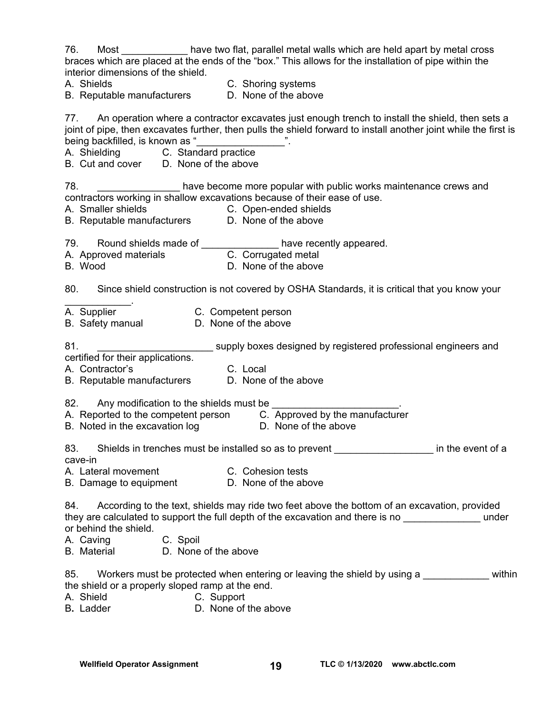76. Most \_\_\_\_\_\_\_\_\_\_\_\_ have two flat, parallel metal walls which are held apart by metal cross braces which are placed at the ends of the "box." This allows for the installation of pipe within the interior dimensions of the shield.

A. Shields C. Shoring systems

B. Reputable manufacturers D. None of the above

77. An operation where a contractor excavates just enough trench to install the shield, then sets a joint of pipe, then excavates further, then pulls the shield forward to install another joint while the first is being backfilled, is known as "

A. Shielding C. Standard practice

B. Cut and cover D. None of the above

78. \_\_\_\_\_\_\_\_\_\_\_\_\_\_\_ have become more popular with public works maintenance crews and contractors working in shallow excavations because of their ease of use.

- 
- A. Smaller shields C. Open-ended shields
- B. Reputable manufacturers D. None of the above

79. Round shields made of The State of the Maye recently appeared.

- A. Approved materials **C. Corrugated metal**
- B. Wood **D. None of the above**

80. Since shield construction is not covered by OSHA Standards, it is critical that you know your

- $\mathcal{L}_\text{max}$  and  $\mathcal{L}_\text{max}$ A. Supplier **C. Competent person**
- B. Safety manual **D. None of the above**

81. \_\_\_\_\_\_\_\_\_\_\_\_\_\_\_\_\_\_\_\_\_ supply boxes designed by registered professional engineers and

certified for their applications.

A. Contractor's C. Local<br>
B. Reputable manufacturers C. None of the above

B. Reputable manufacturers

- 82. Any modification to the shields must be
- A. Reported to the competent person C. Approved by the manufacturer
- B. Noted in the excavation log D. None of the above
- -

83. Shields in trenches must be installed so as to prevent \_\_\_\_\_\_\_\_\_\_\_\_\_\_\_\_\_\_\_\_\_ in the event of a cave-in

A. Lateral movement C. Cohesion tests

B. Damage to equipment D. None of the above

84. According to the text, shields may ride two feet above the bottom of an excavation, provided they are calculated to support the full depth of the excavation and there is no  $\blacksquare$ or behind the shield.

- A. Caving C. Spoil
- B. Material D. None of the above

85. Workers must be protected when entering or leaving the shield by using a within the shield or a properly sloped ramp at the end.

- A. Shield C. Support
- B**.** Ladder D. None of the above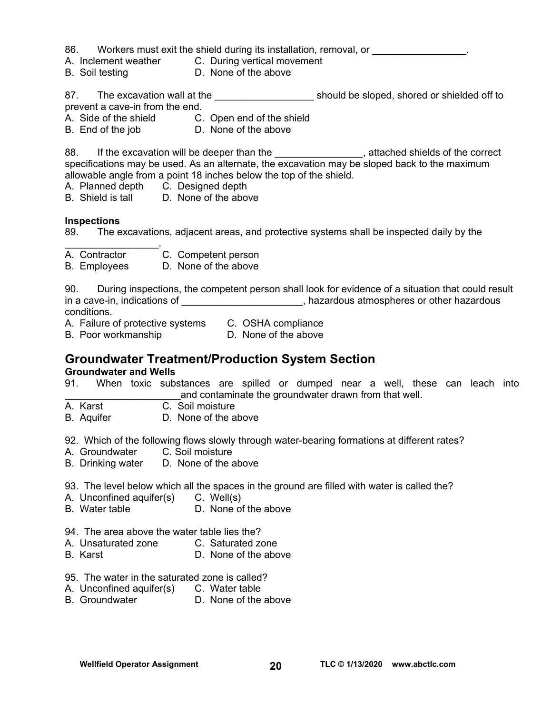86. Workers must exit the shield during its installation, removal, or

- A. Inclement weather C. During vertical movement
- B. Soil testing D. None of the above

87. The excavation wall at the \_\_\_\_\_\_\_\_\_\_\_\_\_\_\_\_\_\_\_\_\_\_\_\_\_\_\_ should be sloped, shored or shielded off to prevent a cave-in from the end.

- A. Side of the shield C. Open end of the shield
- B. End of the job D. None of the above

88. If the excavation will be deeper than the **\_\_\_\_\_\_\_\_\_\_\_\_\_\_\_**, attached shields of the correct specifications may be used. As an alternate, the excavation may be sloped back to the maximum allowable angle from a point 18 inches below the top of the shield.

A. Planned depth C. Designed depth

B. Shield is tall D. None of the above

#### **Inspections**

89. The excavations, adjacent areas, and protective systems shall be inspected daily by the

- $\mathcal{L}_\text{max}$  . The set of the set of the set of the set of the set of the set of the set of the set of the set of the set of the set of the set of the set of the set of the set of the set of the set of the set of the set A. Contractor C. Competent person
- B. Employees D. None of the above

90. During inspections, the competent person shall look for evidence of a situation that could result in a cave-in, indications of \_\_\_\_\_\_\_\_\_\_\_\_\_\_\_\_\_\_\_\_\_\_\_, hazardous atmospheres or other hazardous conditions.

A. Failure of protective systems C. OSHA compliance

B. Poor workmanship D. None of the above

## **Groundwater Treatment/Production System Section**

#### **Groundwater and Wells**

91. When toxic substances are spilled or dumped near a well, these can leach into and contaminate the groundwater drawn from that well.

- A. Karst C. Soil moisture
- B. Aquifer D. None of the above

92. Which of the following flows slowly through water-bearing formations at different rates?

- A. Groundwater C. Soil moisture
- B. Drinking water D. None of the above

93. The level below which all the spaces in the ground are filled with water is called the?

- A. Unconfined aquifer(s) C. Well(s)
- B. Water table D. None of the above
- 94. The area above the water table lies the?
- A. Unsaturated zone C. Saturated zone
- B. Karst D. None of the above
- 95. The water in the saturated zone is called?
- A. Unconfined aquifer(s) C. Water table
- B. Groundwater D. None of the above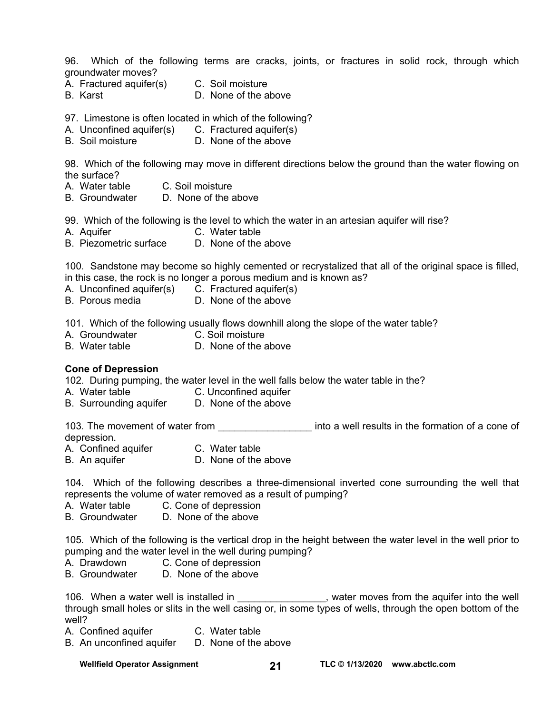96. Which of the following terms are cracks, joints, or fractures in solid rock, through which groundwater moves?

- A. Fractured aquifer(s) C. Soil moisture
- B. Karst D. None of the above

97. Limestone is often located in which of the following?

- A. Unconfined aquifer(s) C. Fractured aquifer(s)
- B. Soil moisture D. None of the above

98. Which of the following may move in different directions below the ground than the water flowing on the surface?

- A. Water table C. Soil moisture
- B. Groundwater D. None of the above

99. Which of the following is the level to which the water in an artesian aquifer will rise?

- A. Aquifer C. Water table
- B. Piezometric surface D. None of the above

100. Sandstone may become so highly cemented or recrystalized that all of the original space is filled, in this case, the rock is no longer a porous medium and is known as?

- A. Unconfined aquifer(s) C. Fractured aquifer(s)
- B. Porous media D. None of the above

101. Which of the following usually flows downhill along the slope of the water table?

- A. Groundwater C. Soil moisture
- B. Water table  $\Box$  D. None of the above

#### **Cone of Depression**

102. During pumping, the water level in the well falls below the water table in the?

- A. Water table C. Unconfined aquifer
- B. Surrounding aquifer D. None of the above

103. The movement of water from the movement of water from the summan into a well results in the formation of a cone of depression.

- A. Confined aquifer C. Water table
- B. An aquifer D. None of the above

104. Which of the following describes a three-dimensional inverted cone surrounding the well that represents the volume of water removed as a result of pumping?

- A. Water table C. Cone of depression
- B. Groundwater D. None of the above

105. Which of the following is the vertical drop in the height between the water level in the well prior to pumping and the water level in the well during pumping?

- A. Drawdown C. Cone of depression
- B. Groundwater D. None of the above

106. When a water well is installed in \_\_\_\_\_\_\_\_\_\_\_\_\_\_\_, water moves from the aquifer into the well through small holes or slits in the well casing or, in some types of wells, through the open bottom of the well?

- A. Confined aquifer **C. Water table**
- B. An unconfined aquifer D. None of the above

Wellfield Operator Assignment **21** TLC © 1/13/2020 www.abctlc.com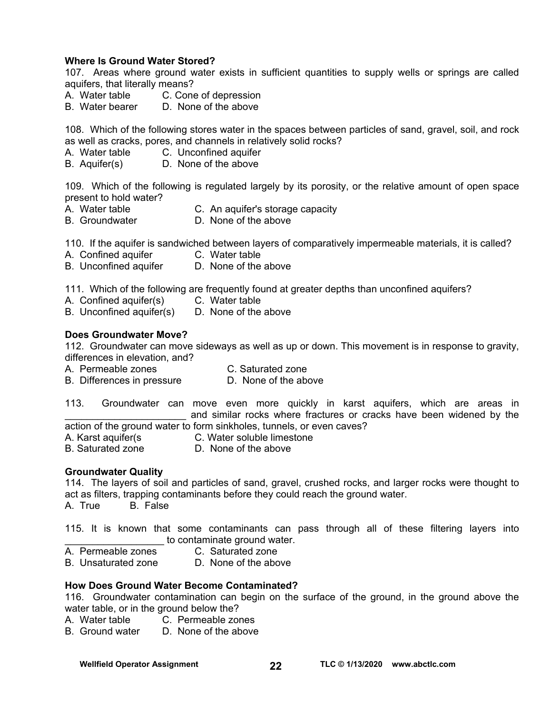#### **Where Is Ground Water Stored?**

107. Areas where ground water exists in sufficient quantities to supply wells or springs are called aquifers, that literally means?

- A. Water table C. Cone of depression
- B. Water bearer D. None of the above

108. Which of the following stores water in the spaces between particles of sand, gravel, soil, and rock as well as cracks, pores, and channels in relatively solid rocks?

- A. Water table C. Unconfined aquifer
- B. Aquifer(s) D. None of the above

109. Which of the following is regulated largely by its porosity, or the relative amount of open space present to hold water?

- A. Water table **C.** An aquifer's storage capacity
- B. Groundwater D. None of the above

110. If the aquifer is sandwiched between layers of comparatively impermeable materials, it is called?

- A. Confined aquifer **C. Water table**
- B. Unconfined aquifer D. None of the above

111. Which of the following are frequently found at greater depths than unconfined aquifers?

- A. Confined aquifer(s) C. Water table
- B. Unconfined aquifer(s) D. None of the above

#### **Does Groundwater Move?**

112. Groundwater can move sideways as well as up or down. This movement is in response to gravity, differences in elevation, and?

- A. Permeable zones C. Saturated zone
- B. Differences in pressure D. None of the above
- 113. Groundwater can move even more quickly in karst aquifers, which are areas in and similar rocks where fractures or cracks have been widened by the action of the ground water to form sinkholes, tunnels, or even caves?
- 
- A. Karst aquifer(s C. Water soluble limestone
- B. Saturated zone D. None of the above
- 

#### **Groundwater Quality**

114. The layers of soil and particles of sand, gravel, crushed rocks, and larger rocks were thought to act as filters, trapping contaminants before they could reach the ground water. A. True B. False

115. It is known that some contaminants can pass through all of these filtering layers into to contaminate ground water.

- A. Permeable zones C. Saturated zone
	-
- B. Unsaturated zone D. None of the above

#### **How Does Ground Water Become Contaminated?**

116. Groundwater contamination can begin on the surface of the ground, in the ground above the water table, or in the ground below the?

- A. Water table C. Permeable zones
- B. Ground water D. None of the above

Wellfield Operator Assignment **22** TLC © 1/13/2020 www.abctlc.com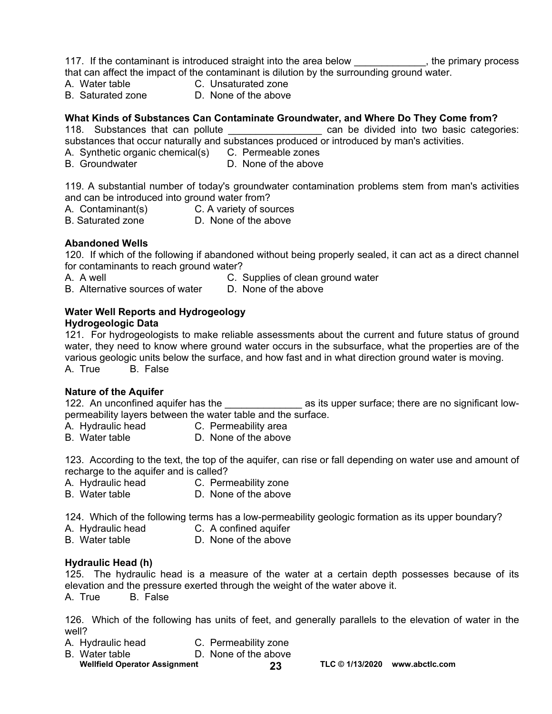117. If the contaminant is introduced straight into the area below \_\_\_\_\_\_\_\_\_\_\_\_, the primary process that can affect the impact of the contaminant is dilution by the surrounding ground water.

- A. Water table C. Unsaturated zone
- B. Saturated zone D. None of the above

#### **What Kinds of Substances Can Contaminate Groundwater, and Where Do They Come from?**

118. Substances that can pollute **that can be can be divided into two basic categories:** substances that occur naturally and substances produced or introduced by man's activities.

- A. Synthetic organic chemical(s) C. Permeable zones<br>B. Groundwater **D. None of the above**
- D. None of the above

119. A substantial number of today's groundwater contamination problems stem from man's activities and can be introduced into ground water from?

- A. Contaminant(s) C. A variety of sources
- B. Saturated zone **D.** None of the above

#### **Abandoned Wells**

120. If which of the following if abandoned without being properly sealed, it can act as a direct channel for contaminants to reach ground water?

A. A well **C.** Supplies of clean ground water

B. Alternative sources of water D. None of the above

#### **Water Well Reports and Hydrogeology**

#### **Hydrogeologic Data**

121. For hydrogeologists to make reliable assessments about the current and future status of ground water, they need to know where ground water occurs in the subsurface, what the properties are of the various geologic units below the surface, and how fast and in what direction ground water is moving. A. True B. False

#### **Nature of the Aquifer**

122. An unconfined aquifer has the the the same as its upper surface; there are no significant lowpermeability layers between the water table and the surface.

A. Hydraulic head **C. Permeability area** 

B. Water table  $D.$  None of the above

123. According to the text, the top of the aquifer, can rise or fall depending on water use and amount of recharge to the aquifer and is called?

- A. Hydraulic head C. Permeability zone
- B. Water table D. None of the above

124. Which of the following terms has a low-permeability geologic formation as its upper boundary?

- 
- A. Hydraulic head C. A confined aquifer
- B. Water table **D.** None of the above

#### **Hydraulic Head (h)**

125. The hydraulic head is a measure of the water at a certain depth possesses because of its elevation and the pressure exerted through the weight of the water above it.

A. True B. False

126. Which of the following has units of feet, and generally parallels to the elevation of water in the well?

- A. Hydraulic head C. Permeability zone
- B. Water table **D.** None of the above
- Wellfield Operator Assignment **23** TLC © 1/13/2020 www.abctlc.com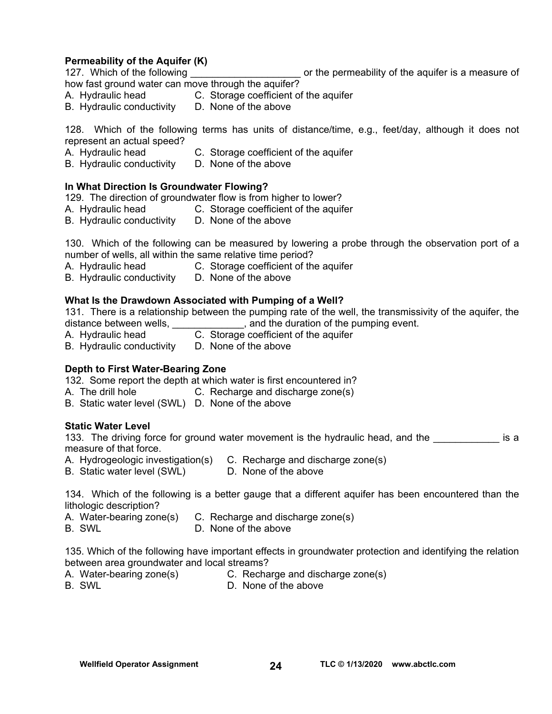#### **Permeability of the Aquifer (K)**

127. Which of the following **the set of the permeability of the aquifer is a measure of** 

how fast ground water can move through the aquifer?

- A. Hydraulic head C. Storage coefficient of the aquifer
- B. Hydraulic conductivity D. None of the above

128. Which of the following terms has units of distance/time, e.g., feet/day, although it does not represent an actual speed?

- A. Hydraulic head C. Storage coefficient of the aquifer<br>B. Hydraulic conductivity D. None of the above
- B. Hydraulic conductivity

#### **In What Direction Is Groundwater Flowing?**

129. The direction of groundwater flow is from higher to lower?

- A. Hydraulic head C. Storage coefficient of the aquifer
- B. Hydraulic conductivity D. None of the above

130. Which of the following can be measured by lowering a probe through the observation port of a number of wells, all within the same relative time period?

- A. Hydraulic head C. Storage coefficient of the aquifer
- B. Hydraulic conductivity D. None of the above

#### **What Is the Drawdown Associated with Pumping of a Well?**

131. There is a relationship between the pumping rate of the well, the transmissivity of the aquifer, the distance between wells, \_\_\_\_\_\_\_\_\_\_\_\_\_\_\_\_, and the duration of the pumping event.

- A. Hydraulic head C. Storage coefficient of the aquifer
- B. Hydraulic conductivity D. None of the above

#### **Depth to First Water-Bearing Zone**

132. Some report the depth at which water is first encountered in?

- A. The drill hole **C.** Recharge and discharge zone(s)
- B. Static water level (SWL) D. None of the above

#### **Static Water Level**

133. The driving force for ground water movement is the hydraulic head, and the **the solution is a** measure of that force.

- A. Hydrogeologic investigation(s) C. Recharge and discharge zone(s)
- B. Static water level (SWL) D. None of the above

134. Which of the following is a better gauge that a different aquifer has been encountered than the lithologic description?

- A. Water-bearing zone(s) C. Recharge and discharge zone(s)
- B. SWL D. None of the above

135. Which of the following have important effects in groundwater protection and identifying the relation between area groundwater and local streams?

- A. Water-bearing zone(s) C. Recharge and discharge zone(s)
- 
- B. SWL D. None of the above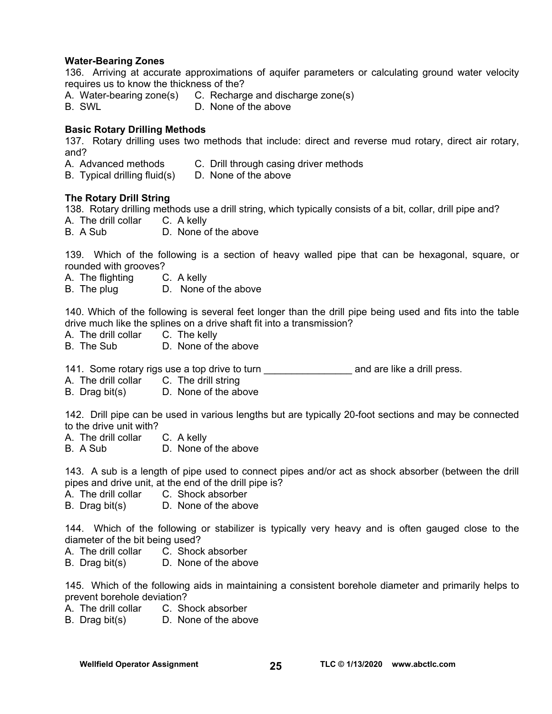#### **Water-Bearing Zones**

136. Arriving at accurate approximations of aquifer parameters or calculating ground water velocity requires us to know the thickness of the?

- A. Water-bearing zone(s) C. Recharge and discharge zone(s)
- B. SWL D. None of the above

#### **Basic Rotary Drilling Methods**

137. Rotary drilling uses two methods that include: direct and reverse mud rotary, direct air rotary, and?

- A. Advanced methods C. Drill through casing driver methods
- B. Typical drilling fluid(s) D. None of the above

#### **The Rotary Drill String**

138. Rotary drilling methods use a drill string, which typically consists of a bit, collar, drill pipe and? A. The drill collar C. A kelly

B. A Sub D. None of the above

139. Which of the following is a section of heavy walled pipe that can be hexagonal, square, or rounded with grooves?

- A. The flighting C. A kelly
- B. The plug D. None of the above

140. Which of the following is several feet longer than the drill pipe being used and fits into the table drive much like the splines on a drive shaft fit into a transmission?

- A. The drill collar C. The kelly
- B. The Sub D. None of the above

141. Some rotary rigs use a top drive to turn **constant of the analysis and are like a drill press.** 

A. The drill collar C. The drill string

B. Drag bit(s) D. None of the above

142. Drill pipe can be used in various lengths but are typically 20-foot sections and may be connected to the drive unit with?

- A. The drill collar C. A kelly
- B. A Sub D. None of the above

143. A sub is a length of pipe used to connect pipes and/or act as shock absorber (between the drill pipes and drive unit, at the end of the drill pipe is?

- A. The drill collar C. Shock absorber
- B. Drag bit(s) D. None of the above

144. Which of the following or stabilizer is typically very heavy and is often gauged close to the diameter of the bit being used?

- A. The drill collar C. Shock absorber
- B. Drag bit(s) D. None of the above

145. Which of the following aids in maintaining a consistent borehole diameter and primarily helps to prevent borehole deviation?

- A. The drill collar C. Shock absorber
- B. Drag bit(s) D. None of the above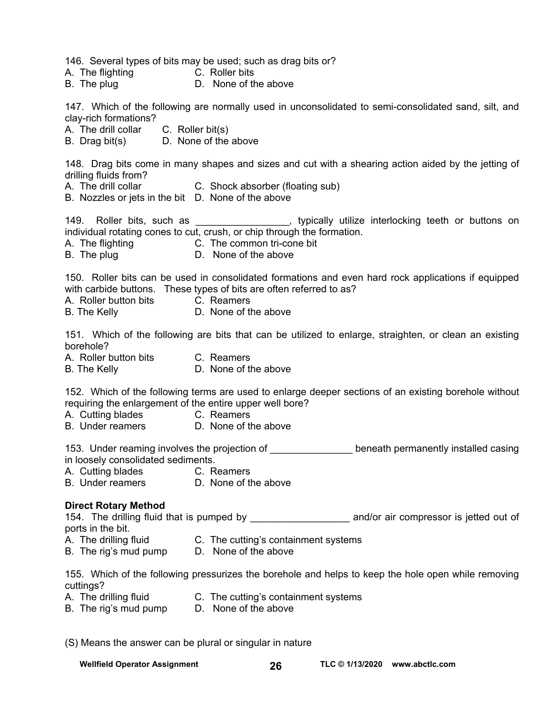146. Several types of bits may be used; such as drag bits or?

- A. The flighting **C. Roller bits**
- B. The plug D. None of the above

147. Which of the following are normally used in unconsolidated to semi-consolidated sand, silt, and clay-rich formations?

A. The drill collar C. Roller bit(s)

B. Drag bit(s) D. None of the above

148. Drag bits come in many shapes and sizes and cut with a shearing action aided by the jetting of drilling fluids from?

- A. The drill collar **C.** Shock absorber (floating sub)
- B. Nozzles or jets in the bit D. None of the above

149. Roller bits, such as \_\_\_\_\_\_\_\_\_\_\_\_\_\_\_\_, typically utilize interlocking teeth or buttons on individual rotating cones to cut, crush, or chip through the formation.

- A. The flighting C. The common tri-cone bit
- B. The plug D. None of the above

150. Roller bits can be used in consolidated formations and even hard rock applications if equipped with carbide buttons. These types of bits are often referred to as?

- A. Roller button bits C. Reamers
- B. The Kelly **D.** None of the above

151. Which of the following are bits that can be utilized to enlarge, straighten, or clean an existing borehole?

A. Roller button bits C. Reamers

B. The Kelly **D.** None of the above

152. Which of the following terms are used to enlarge deeper sections of an existing borehole without requiring the enlargement of the entire upper well bore?

A. Cutting blades C. Reamers

B. Under reamers D. None of the above

153. Under reaming involves the projection of \_\_\_\_\_\_\_\_\_\_\_\_\_\_\_ beneath permanently installed casing in loosely consolidated sediments.

- A. Cutting blades **C. Reamers**
- B. Under reamers **D. None of the above**

#### **Direct Rotary Method**

154. The drilling fluid that is pumped by and/or air compressor is jetted out of ports in the bit.

- A. The drilling fluid C. The cutting's containment systems
- B. The rig's mud pump D. None of the above

155. Which of the following pressurizes the borehole and helps to keep the hole open while removing cuttings?

- A. The drilling fluid C. The cutting's containment systems
- B. The rig's mud pump D. None of the above

(S) Means the answer can be plural or singular in nature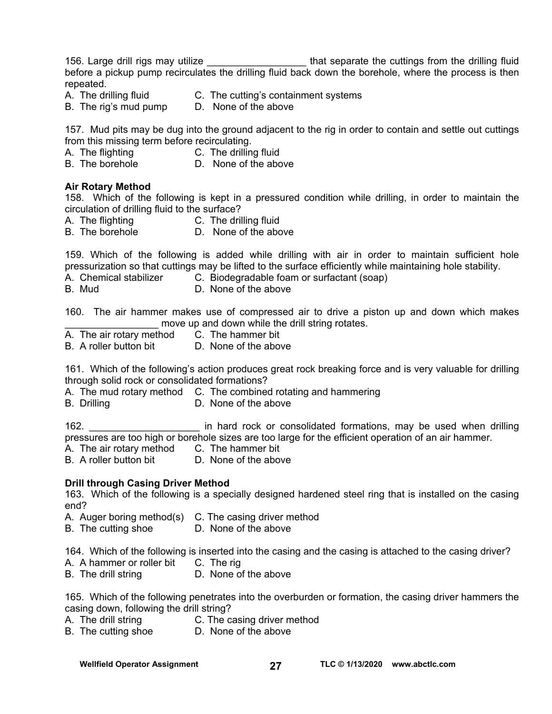156. Large drill rigs may utilize the state of that separate the cuttings from the drilling fluid before a pickup pump recirculates the drilling fluid back down the borehole, where the process is then repeated.

- A. The drilling fluid C. The cutting's containment systems
- B. The rig's mud pump D. None of the above

157. Mud pits may be dug into the ground adjacent to the rig in order to contain and settle out cuttings from this missing term before recirculating.

- A. The flighting C. The drilling fluid<br>
B. The borehole B. None of the abc
- D. None of the above

#### **Air Rotary Method**

158. Which of the following is kept in a pressured condition while drilling, in order to maintain the circulation of drilling fluid to the surface?

- A. The flighting C. The drilling fluid
- B. The borehole D. None of the above

159. Which of the following is added while drilling with air in order to maintain sufficient hole pressurization so that cuttings may be lifted to the surface efficiently while maintaining hole stability.

- A. Chemical stabilizer C. Biodegradable foam or surfactant (soap)
- B. Mud D. None of the above

160. The air hammer makes use of compressed air to drive a piston up and down which makes move up and down while the drill string rotates.

A. The air rotary method C. The hammer bit

B. A roller button bit D. None of the above

161. Which of the following's action produces great rock breaking force and is very valuable for drilling through solid rock or consolidated formations?

A. The mud rotary method C. The combined rotating and hammering

B. Drilling **D.** None of the above

162. \_\_\_\_\_\_\_\_\_\_\_\_\_\_\_\_\_\_\_\_ in hard rock or consolidated formations, may be used when drilling pressures are too high or borehole sizes are too large for the efficient operation of an air hammer.

- A. The air rotary method C. The hammer bit
- B. A roller button bit **D.** None of the above

#### **Drill through Casing Driver Method**

163. Which of the following is a specially designed hardened steel ring that is installed on the casing end?

- A. Auger boring method(s) C. The casing driver method
- B. The cutting shoe **D.** None of the above

164. Which of the following is inserted into the casing and the casing is attached to the casing driver?

- A. A hammer or roller bit C. The rig
- B. The drill string D. None of the above

165. Which of the following penetrates into the overburden or formation, the casing driver hammers the casing down, following the drill string?

- A. The drill string C. The casing driver method
- B. The cutting shoe D. None of the above

Wellfield Operator Assignment **27** TLC © 1/13/2020 www.abctlc.com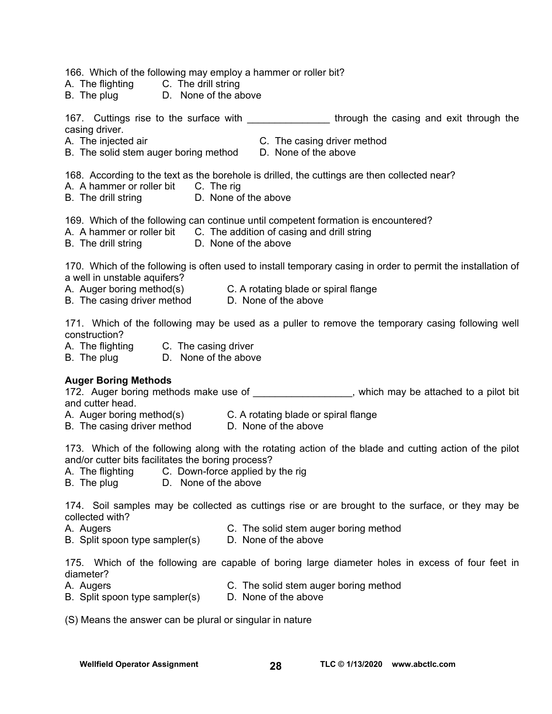166. Which of the following may employ a hammer or roller bit?

- A. The flighting C. The drill string
- B. The plug D. None of the above

167. Cuttings rise to the surface with the subsetimation of through the casing and exit through the casing driver.

- 
- A. The injected air C. The casing driver method B. The solid stem auger boring method D. None of the above
- 168. According to the text as the borehole is drilled, the cuttings are then collected near?
- A. A hammer or roller bit C. The rig
- B. The drill string **D.** None of the above

169. Which of the following can continue until competent formation is encountered?

- A. A hammer or roller bit C. The addition of casing and drill string
- B. The drill string D. None of the above

170. Which of the following is often used to install temporary casing in order to permit the installation of a well in unstable aquifers?

A. Auger boring method(s) C. A rotating blade or spiral flange

B. The casing driver method D. None of the above

171. Which of the following may be used as a puller to remove the temporary casing following well construction?

- A. The flighting C. The casing driver
- B. The plug D. None of the above

#### **Auger Boring Methods**

172. Auger boring methods make use of \_\_\_\_\_\_\_\_\_\_\_\_\_\_\_\_, which may be attached to a pilot bit and cutter head.

A. Auger boring method(s) C. A rotating blade or spiral flange

B. The casing driver method D. None of the above

173. Which of the following along with the rotating action of the blade and cutting action of the pilot and/or cutter bits facilitates the boring process?

- A. The flighting C. Down-force applied by the rig
- B. The plug D. None of the above

174. Soil samples may be collected as cuttings rise or are brought to the surface, or they may be collected with?

- A. Augers C. The solid stem auger boring method
- B. Split spoon type sampler(s) D. None of the above

175. Which of the following are capable of boring large diameter holes in excess of four feet in diameter?

- A. Augers C. The solid stem auger boring method
- B. Split spoon type sampler(s) D. None of the above

(S) Means the answer can be plural or singular in nature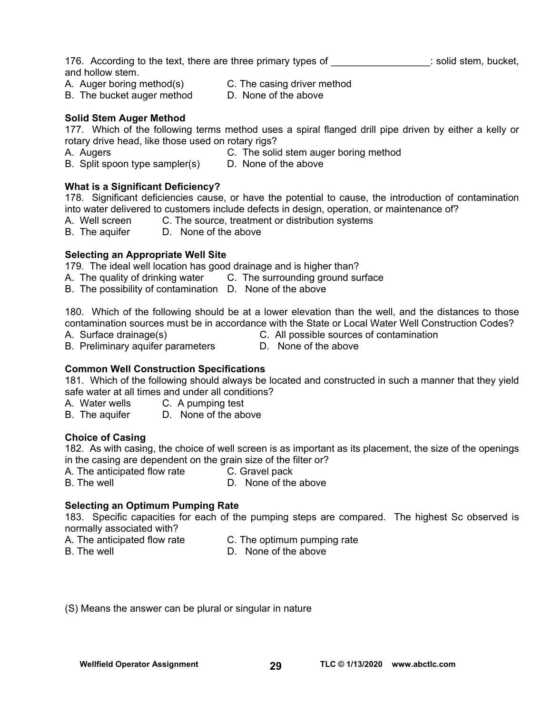176. According to the text, there are three primary types of  $\blacksquare$  solid stem, bucket, and hollow stem.

A. Auger boring method(s) C. The casing driver method

B. The bucket auger method D. None of the above

#### **Solid Stem Auger Method**

177. Which of the following terms method uses a spiral flanged drill pipe driven by either a kelly or rotary drive head, like those used on rotary rigs?

A. Augers **C. The solid stem auger boring method**<br>B. Split spoon type sampler(s) **D. None of the above** B. Split spoon type sampler(s)

## **What is a Significant Deficiency?**

178. Significant deficiencies cause, or have the potential to cause, the introduction of contamination into water delivered to customers include defects in design, operation, or maintenance of?

- A. Well screen C. The source, treatment or distribution systems
- B. The aquifer D. None of the above

#### **Selecting an Appropriate Well Site**

179. The ideal well location has good drainage and is higher than?

- A. The quality of drinking water C. The surrounding ground surface
- B. The possibility of contamination D. None of the above

180. Which of the following should be at a lower elevation than the well, and the distances to those contamination sources must be in accordance with the State or Local Water Well Construction Codes?

- B. Preliminary aquifer parameters D. None of the above
- A. Surface drainage(s) C. All possible sources of contamination
	-

#### **Common Well Construction Specifications**

181. Which of the following should always be located and constructed in such a manner that they yield safe water at all times and under all conditions?

A. Water wells C. A pumping test

B. The aquifer D. None of the above

#### **Choice of Casing**

182. As with casing, the choice of well screen is as important as its placement, the size of the openings in the casing are dependent on the grain size of the filter or?

A. The anticipated flow rate C. Gravel pack

B. The well **B.** The well **B.** D. None of the above

#### **Selecting an Optimum Pumping Rate**

183. Specific capacities for each of the pumping steps are compared. The highest Sc observed is normally associated with?

- A. The anticipated flow rate C. The optimum pumping rate
	-

B. The well **B.** The well **B.** D. None of the above

(S) Means the answer can be plural or singular in nature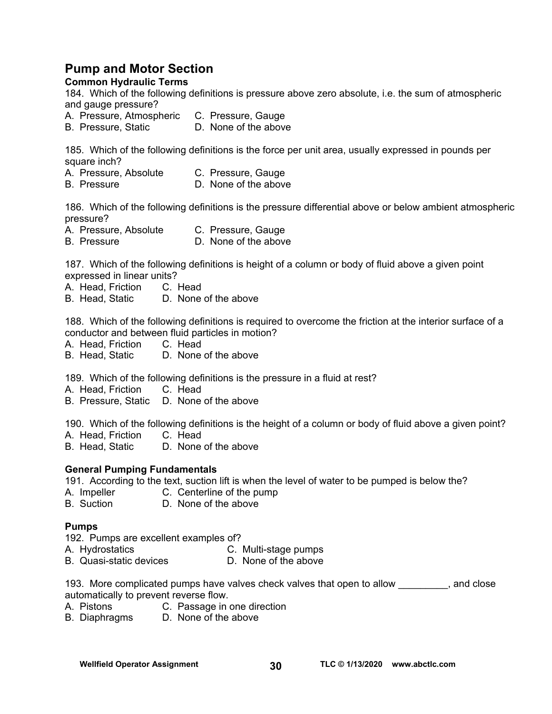## **Pump and Motor Section**

#### **Common Hydraulic Terms**

184. Which of the following definitions is pressure above zero absolute, i.e. the sum of atmospheric and gauge pressure?

- A. Pressure, Atmospheric C. Pressure, Gauge
- B. Pressure, Static D. None of the above

185. Which of the following definitions is the force per unit area, usually expressed in pounds per square inch?

- A. Pressure, Absolute C. Pressure, Gauge
- B. Pressure D. None of the above

186. Which of the following definitions is the pressure differential above or below ambient atmospheric pressure?

- A. Pressure, Absolute C. Pressure, Gauge
- B. Pressure D. None of the above

187. Which of the following definitions is height of a column or body of fluid above a given point expressed in linear units?

A. Head, Friction C. Head

B. Head, Static D. None of the above

188. Which of the following definitions is required to overcome the friction at the interior surface of a conductor and between fluid particles in motion?

- A. Head, Friction C. Head
- B. Head, Static D. None of the above

189. Which of the following definitions is the pressure in a fluid at rest?

A. Head, Friction C. Head

B. Pressure, Static D. None of the above

190. Which of the following definitions is the height of a column or body of fluid above a given point?

A. Head, Friction C. Head<br>B. Head. Static D. None

D. None of the above

#### **General Pumping Fundamentals**

191. According to the text, suction lift is when the level of water to be pumped is below the?

- A. Impeller C. Centerline of the pump
- B. Suction D. None of the above

#### **Pumps**

192. Pumps are excellent examples of?

- 
- A. Hydrostatics C. Multi-stage pumps
- B. Quasi-static devices D. None of the above

193. More complicated pumps have valves check valves that open to allow equivalent close automatically to prevent reverse flow.

- A. Pistons C. Passage in one direction
- B. Diaphragms D. None of the above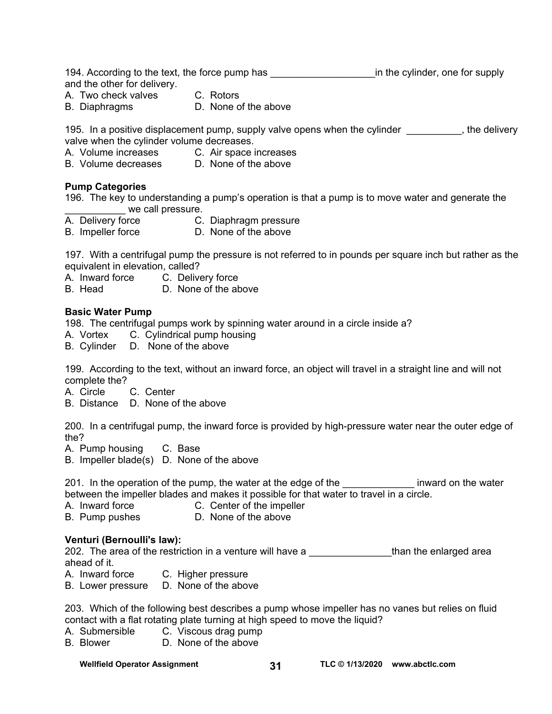194. According to the text, the force pump has **the interpollant in** the cylinder, one for supply and the other for delivery.

- A. Two check valves C. Rotors
- B. Diaphragms D. None of the above

195. In a positive displacement pump, supply valve opens when the cylinder the set in the delivery valve when the cylinder volume decreases.

- A. Volume increases C. Air space increases<br>B. Volume decreases D. None of the above
- D. None of the above

#### **Pump Categories**

196. The key to understanding a pump's operation is that a pump is to move water and generate the we call pressure.

- A. Delivery force C. Diaphragm pressure
- B. Impeller force D. None of the above

197. With a centrifugal pump the pressure is not referred to in pounds per square inch but rather as the equivalent in elevation, called?

A. Inward force C. Delivery force

B. Head D. None of the above

#### **Basic Water Pump**

198. The centrifugal pumps work by spinning water around in a circle inside a?

- A. Vortex C. Cylindrical pump housing
- B. Cylinder D. None of the above

199. According to the text, without an inward force, an object will travel in a straight line and will not complete the?

A. Circle C. Center

B. Distance D. None of the above

200. In a centrifugal pump, the inward force is provided by high-pressure water near the outer edge of the?

A. Pump housing C. Base

B. Impeller blade(s) D. None of the above

201. In the operation of the pump, the water at the edge of the **the inward on the water** between the impeller blades and makes it possible for that water to travel in a circle.

- A. Inward force **C.** Center of the impeller
- B. Pump pushes D. None of the above

#### **Venturi (Bernoulli's law):**

202. The area of the restriction in a venture will have a \_\_\_\_\_\_\_\_\_\_\_\_\_\_\_than the enlarged area ahead of it.

- A. Inward force C. Higher pressure
- B. Lower pressure D. None of the above

203. Which of the following best describes a pump whose impeller has no vanes but relies on fluid contact with a flat rotating plate turning at high speed to move the liquid?

- A. Submersible C. Viscous drag pump
- B. Blower D. None of the above

**Wellfield Operator Assignment TLC © 1/13/2020 31 [www.abctlc.com](http://www.abctlc.com)**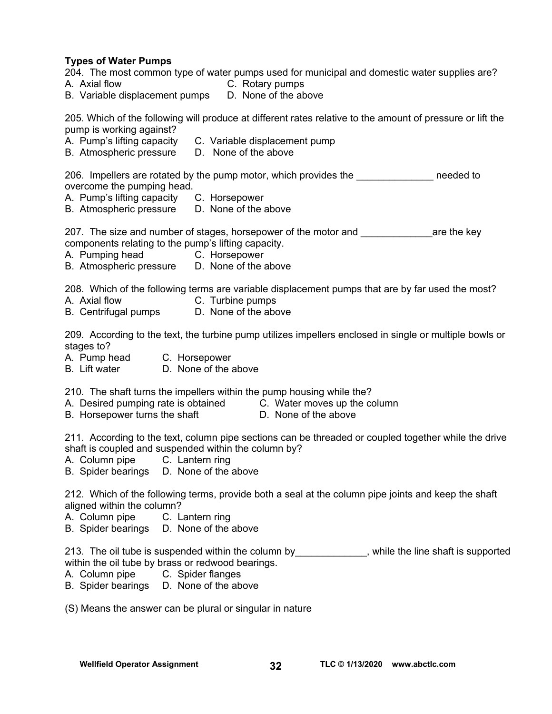**Types of Water Pumps**  204. The most common type of water pumps used for municipal and domestic water supplies are? A. Axial flow C. Rotary pumps B. Variable displacement pumps D. None of the above 205. Which of the following will produce at different rates relative to the amount of pressure or lift the pump is working against? A. Pump's lifting capacity C. Variable displacement pump B. Atmospheric pressure D. None of the above 206. Impellers are rotated by the pump motor, which provides the \_\_\_\_\_\_\_\_\_\_\_\_\_\_\_ needed to overcome the pumping head. A. Pump's lifting capacity C. Horsepower B. Atmospheric pressure D. None of the above 207. The size and number of stages, horsepower of the motor and **with any case of the key** components relating to the pump's lifting capacity. A. Pumping head C. Horsepower B. Atmospheric pressure D. None of the above 208. Which of the following terms are variable displacement pumps that are by far used the most? A. Axial flow C. Turbine pumps B. Centrifugal pumps D. None of the above 209. According to the text, the turbine pump utilizes impellers enclosed in single or multiple bowls or stages to? A. Pump head C. Horsepower B. Lift water D. None of the above 210. The shaft turns the impellers within the pump housing while the? A. Desired pumping rate is obtained C. Water moves up the column B. Horsepower turns the shaft D. None of the above 211. According to the text, column pipe sections can be threaded or coupled together while the drive shaft is coupled and suspended within the column by? A. Column pipe C. Lantern ring B. Spider bearings D. None of the above 212. Which of the following terms, provide both a seal at the column pipe joints and keep the shaft aligned within the column? A. Column pipe C. Lantern ring B. Spider bearings D. None of the above

213. The oil tube is suspended within the column by\_\_\_\_\_\_\_\_\_\_\_\_, while the line shaft is supported within the oil tube by brass or redwood bearings.

- A. Column pipe C. Spider flanges
- B. Spider bearings D. None of the above

(S) Means the answer can be plural or singular in nature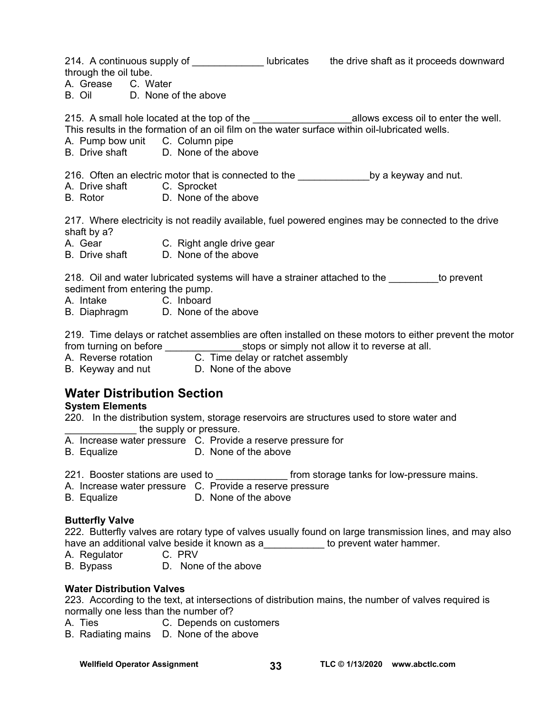214. A continuous supply of \_\_\_\_\_\_\_\_\_\_\_\_\_\_\_ lubricates the drive shaft as it proceeds downward through the oil tube.

A. Grease C. Water

B. Oil D. None of the above

215. A small hole located at the top of the \_\_\_\_\_\_\_\_\_\_\_\_\_\_\_\_\_\_\_\_\_\_\_\_\_\_\_\_\_\_allows excess oil to enter the well.

- This results in the formation of an oil film on the water surface within oil-lubricated wells.
- A. Pump bow unit C. Column pipe
- B. Drive shaft D. None of the above

216. Often an electric motor that is connected to the \_\_\_\_\_\_\_\_\_\_\_\_\_\_\_\_\_by a keyway and nut.

- A. Drive shaft C. Sprocket
- B. Rotor D. None of the above

217. Where electricity is not readily available, fuel powered engines may be connected to the drive shaft by a?

- A. Gear C. Right angle drive gear
- B. Drive shaft D. None of the above

218. Oil and water lubricated systems will have a strainer attached to the to prevent sediment from entering the pump.

- A. Intake C. Inboard
- B. Diaphragm D. None of the above

219. Time delays or ratchet assemblies are often installed on these motors to either prevent the motor from turning on before **the state of state state state in the state of state at all.** 

- A. Reverse rotation C. Time delay or ratchet assembly
- B. Keyway and nut D. None of the above

## **Water Distribution Section**

#### **System Elements**

220. In the distribution system, storage reservoirs are structures used to store water and the supply or pressure.

- A. Increase water pressure C. Provide a reserve pressure for
- B. Equalize D. None of the above
- 221. Booster stations are used to **the station of the storage tanks for low-pressure mains.**
- A. Increase water pressure C. Provide a reserve pressure
- B. Equalize D. None of the above

#### **Butterfly Valve**

222. Butterfly valves are rotary type of valves usually found on large transmission lines, and may also have an additional valve beside it known as a\_\_\_\_\_\_\_\_\_\_\_\_ to prevent water hammer.

A. Regulator C. PRV

B. Bypass D. None of the above

#### **Water Distribution Valves**

223. According to the text, at intersections of distribution mains, the number of valves required is normally one less than the number of?

- A. Ties C. Depends on customers
- B. Radiating mains D. None of the above

Wellfield Operator Assignment **33** TLC © 1/13/2020 www.abctlc.com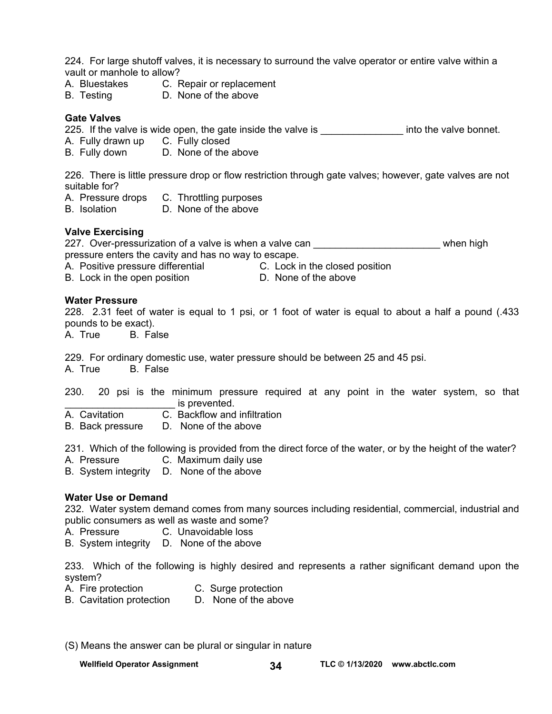224. For large shutoff valves, it is necessary to surround the valve operator or entire valve within a vault or manhole to allow?

- A. Bluestakes C. Repair or replacement
- B. Testing D. None of the above

#### **Gate Valves**

225. If the valve is wide open, the gate inside the valve is entitled into the valve bonnet.

- A. Fully drawn up C. Fully closed
- B. Fully down D. None of the above

226. There is little pressure drop or flow restriction through gate valves; however, gate valves are not suitable for?

- A. Pressure drops C. Throttling purposes
- B. Isolation D. None of the above

#### **Valve Exercising**

227. Over-pressurization of a valve is when a valve can \_\_\_\_\_\_\_\_\_\_\_\_\_\_\_\_\_\_\_\_\_\_\_\_\_\_\_\_\_\_\_ when high pressure enters the cavity and has no way to escape.

- A. Positive pressure differential **C.** Lock in the closed position
- B. Lock in the open position D. None of the above
- -

#### **Water Pressure**

228. 2.31 feet of water is equal to 1 psi, or 1 foot of water is equal to about a half a pound (.433 pounds to be exact).

A. True B. False

229. For ordinary domestic use, water pressure should be between 25 and 45 psi.

A. True B. False

230. 20 psi is the minimum pressure required at any point in the water system, so that is prevented.

- A. Cavitation C. Backflow and infiltration
- B. Back pressure D. None of the above

231. Which of the following is provided from the direct force of the water, or by the height of the water?

A. Pressure C. Maximum daily use

B. System integrity D. None of the above

#### **Water Use or Demand**

232. Water system demand comes from many sources including residential, commercial, industrial and public consumers as well as waste and some?

- A. Pressure C. Unavoidable loss
- B. System integrity D. None of the above

233. Which of the following is highly desired and represents a rather significant demand upon the system?

- A. Fire protection C. Surge protection
- B. Cavitation protection D. None of the above
- (S) Means the answer can be plural or singular in nature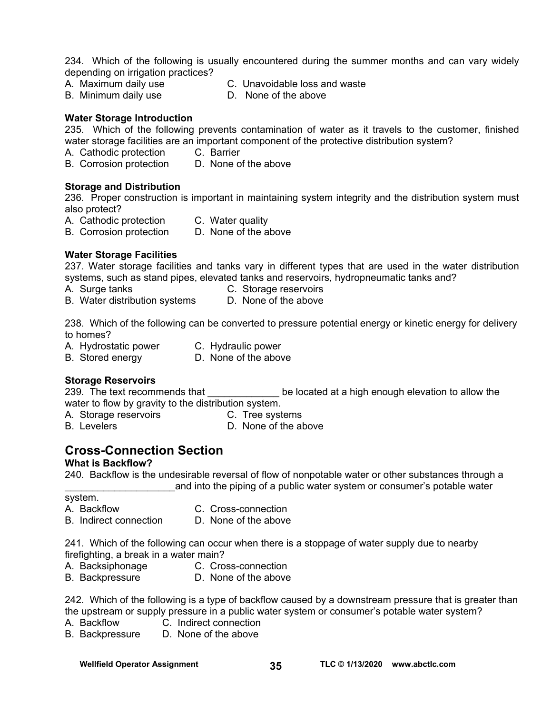234. Which of the following is usually encountered during the summer months and can vary widely depending on irrigation practices?

- A. Maximum daily use C. Unavoidable loss and waste
- B. Minimum daily use D. None of the above
- 

#### **Water Storage Introduction**

235. Which of the following prevents contamination of water as it travels to the customer, finished water storage facilities are an important component of the protective distribution system?

- 
- A. Cathodic protection C. Barrier<br>B. Corrosion protection D. None of the above B. Corrosion protection

#### **Storage and Distribution**

236. Proper construction is important in maintaining system integrity and the distribution system must also protect?

- A. Cathodic protection C. Water quality
- B. Corrosion protection D. None of the above

#### **Water Storage Facilities**

237. Water storage facilities and tanks vary in different types that are used in the water distribution systems, such as stand pipes, elevated tanks and reservoirs, hydropneumatic tanks and?

- A.Surge tanks C. Storage reservoirs
- B. Water distribution systems D. None of the above

238. Which of the following can be converted to pressure potential energy or kinetic energy for delivery to homes?

- A. Hydrostatic power C. Hydraulic power
- B. Stored energy D. None of the above

#### **Storage Reservoirs**

239. The text recommends that **the comments of the set of the located** at a high enough elevation to allow the water to flow by gravity to the distribution system.

- A. Storage reservoirs **C. Tree systems**
- B. Levelers **D. None of the above**

## **Cross-Connection Section**

#### **What is Backflow?**

240. Backflow is the undesirable reversal of flow of nonpotable water or other substances through a and into the piping of a public water system or consumer's potable water

system.

- A. Backflow C. Cross-connection
- B. Indirect connection D. None of the above

241. Which of the following can occur when there is a stoppage of water supply due to nearby firefighting, a break in a water main?

- 
- A. Backsiphonage C. Cross-connection
- B. Backpressure D. None of the above

242. Which of the following is a type of backflow caused by a downstream pressure that is greater than the upstream or supply pressure in a public water system or consumer's potable water system?

- A. Backflow C. Indirect connection
- B. Backpressure D. None of the above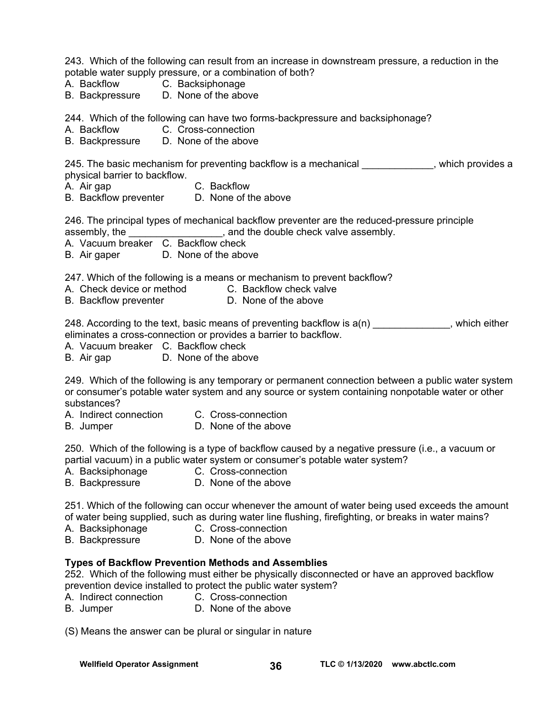243. Which of the following can result from an increase in downstream pressure, a reduction in the potable water supply pressure, or a combination of both?

- A. Backflow C. Backsiphonage
- B. Backpressure D. None of the above

244. Which of the following can have two forms-backpressure and backsiphonage?

- A. Backflow C. Cross-connection
- B. Backpressure D. None of the above

245. The basic mechanism for preventing backflow is a mechanical example in the symbol spool of the basic mechanism physical barrier to backflow.

- A. Air gap C. Backflow
- B. Backflow preventer D. None of the above

246. The principal types of mechanical backflow preventer are the reduced-pressure principle assembly, the \_\_\_\_\_\_\_\_\_\_\_\_\_\_\_, and the double check valve assembly.

- A. Vacuum breaker C. Backflow check
- B. Air gaper D. None of the above

247. Which of the following is a means or mechanism to prevent backflow?

- A. Check device or method C. Backflow check valve
- B. Backflow preventer **D.** None of the above

248. According to the text, basic means of preventing backflow is  $a(n)$  , which either eliminates a cross-connection or provides a barrier to backflow.

A. Vacuum breaker C. Backflow check

B. Air gap D. None of the above

249. Which of the following is any temporary or permanent connection between a public water system or consumer's potable water system and any source or system containing nonpotable water or other substances?

- A. Indirect connection C. Cross-connection
- B. Jumper D. None of the above

250. Which of the following is a type of backflow caused by a negative pressure (i.e., a vacuum or partial vacuum) in a public water system or consumer's potable water system?

- A. Backsiphonage C. Cross-connection
- B. Backpressure D. None of the above

251. Which of the following can occur whenever the amount of water being used exceeds the amount of water being supplied, such as during water line flushing, firefighting, or breaks in water mains?

- A. Backsiphonage C. Cross-connection
- B. Backpressure D. None of the above

#### **Types of Backflow Prevention Methods and Assemblies**

252. Which of the following must either be physically disconnected or have an approved backflow prevention device installed to protect the public water system?

- A. Indirect connection C. Cross-connection
- B. Jumper D. None of the above

(S) Means the answer can be plural or singular in nature

Wellfield Operator Assignment **36 TLC © 1/13/2020** www.abctlc.com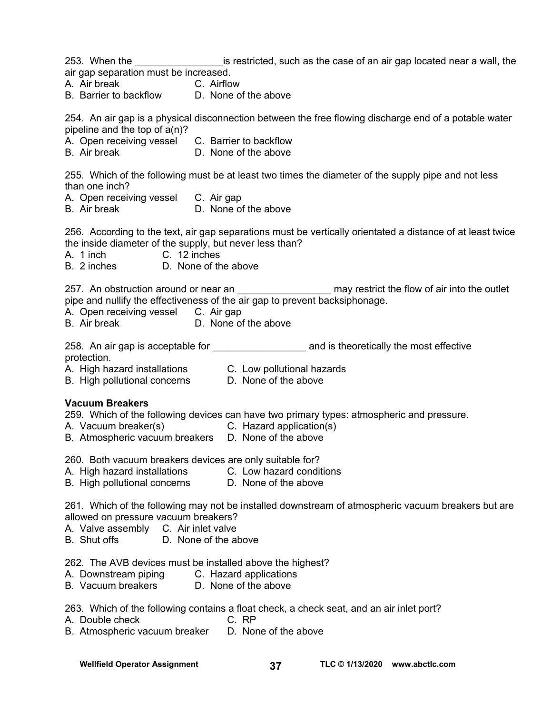253. When the \_\_\_\_\_\_\_\_\_\_\_\_\_\_\_\_\_\_\_\_\_is restricted, such as the case of an air gap located near a wall, the air gap separation must be increased.

- A. Air break C. Airflow
- B. Barrier to backflow D. None of the above

254. An air gap is a physical disconnection between the free flowing discharge end of a potable water pipeline and the top of a(n)?

- A. Open receiving vessel C. Barrier to backflow
- B. Air break D. None of the above

255. Which of the following must be at least two times the diameter of the supply pipe and not less than one inch?

- A. Open receiving vessel C. Air gap
- B. Air break D. None of the above

256. According to the text, air gap separations must be vertically orientated a distance of at least twice the inside diameter of the supply, but never less than?

A. 1 inch C. 12 inches

B. 2 inches D. None of the above

257. An obstruction around or near an \_\_\_\_\_\_\_\_\_\_\_\_\_\_\_\_\_\_\_\_ may restrict the flow of air into the outlet pipe and nullify the effectiveness of the air gap to prevent backsiphonage.

- A. Open receiving vessel C. Air gap
- B. Air break D. None of the above

258. An air gap is acceptable for **the acceptable for** and is theoretically the most effective

protection.

- A. High hazard installations C. Low pollutional hazards
- B. High pollutional concerns D. None of the above

#### **Vacuum Breakers**

259. Which of the following devices can have two primary types: atmospheric and pressure.

- A. Vacuum breaker(s) C. Hazard application(s)
- B. Atmospheric vacuum breakers D. None of the above

260. Both vacuum breakers devices are only suitable for?

- A. High hazard installations C. Low hazard conditions<br>B. High pollutional concerns D. None of the above
- B. High pollutional concerns

261. Which of the following may not be installed downstream of atmospheric vacuum breakers but are allowed on pressure vacuum breakers?

- A. Valve assembly C. Air inlet valve
- B. Shut offs D. None of the above

262. The AVB devices must be installed above the highest?

- A. Downstream piping C. Hazard applications<br>B. Vacuum breakers D. None of the above
- B. Vacuum breakers

263. Which of the following contains a float check, a check seat, and an air inlet port?

- A. Double check C. RP
- B. Atmospheric vacuum breaker D. None of the above

Wellfield Operator Assignment **37 TLC © 1/13/2020** www.abctlc.com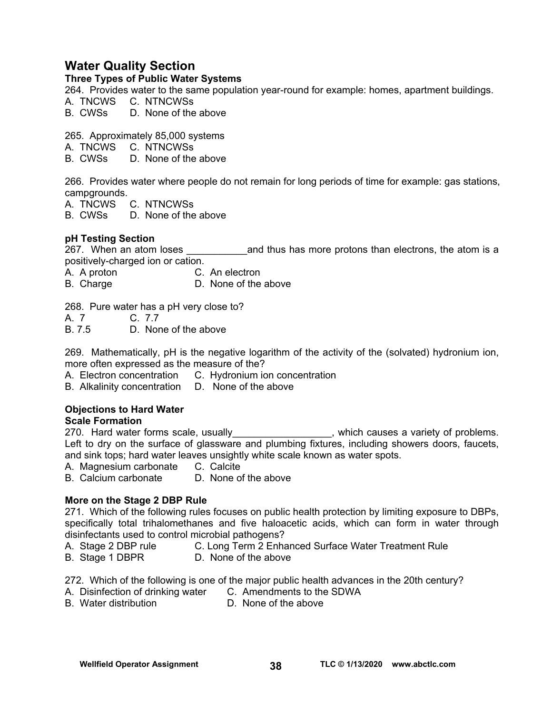## **Water Quality Section**

#### **Three Types of Public Water Systems**

264.Provides water to the same population year-round for example: homes, apartment buildings.

A. TNCWS C. NTNCWSs

B. CWSs D. None of the above

265. Approximately 85,000 systems

- A. TNCWS C. NTNCWSs
- D. None of the above

266. Provides water where people do not remain for long periods of time for example: gas stations, campgrounds.

A. TNCWS C. NTNCWSs

B. CWSs D. None of the above

#### **pH Testing Section**

267. When an atom loses **the annum various and thus has more protons than electrons**, the atom is a positively-charged ion or cation.

A. A proton C. An electron

B. Charge D. None of the above

268. Pure water has a pH very close to?

A. 7 C. 7.7

B. 7.5 D. None of the above

269. Mathematically, pH is the negative logarithm of the activity of the (solvated) hydronium ion, more often expressed as the measure of the?

A. Electron concentration C. Hydronium ion concentration

B. Alkalinity concentration D. None of the above

#### **Objections to Hard Water**

#### **Scale Formation**

270. Hard water forms scale, usually\_\_\_\_\_\_\_\_\_\_\_\_\_\_\_\_\_, which causes a variety of problems. Left to dry on the surface of glassware and plumbing fixtures, including showers doors, faucets, and sink tops; hard water leaves unsightly white scale known as water spots.

A. Magnesium carbonate C. Calcite

B. Calcium carbonate D. None of the above

#### **More on the Stage 2 DBP Rule**

271. Which of the following rules focuses on public health protection by limiting exposure to DBPs, specifically total trihalomethanes and five haloacetic acids, which can form in water through disinfectants used to control microbial pathogens?

- A. Stage 2 DBP rule **C. Long Term 2 Enhanced Surface Water Treatment Rule**
- B. Stage 1 DBPR D. None of the above

272. Which of the following is one of the major public health advances in the 20th century?

- A. Disinfection of drinking water C. Amendments to the SDWA
- B. Water distribution D. None of the above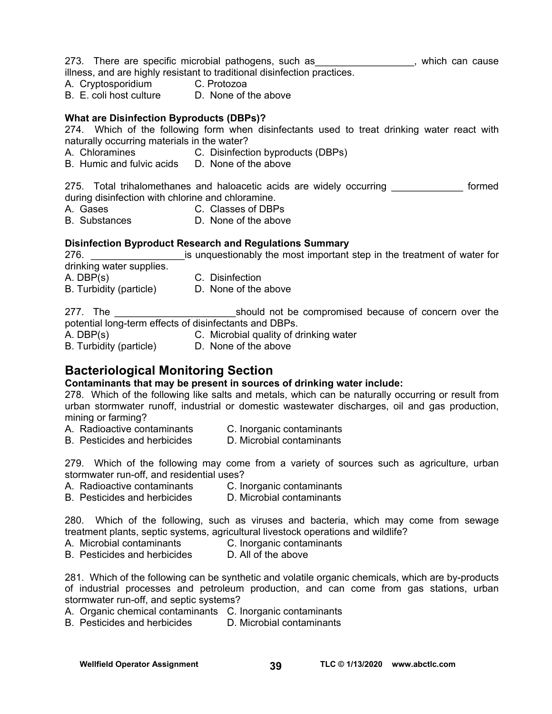- 273. There are specific microbial pathogens, such as \_\_\_\_\_\_\_\_\_\_\_\_\_\_\_\_\_\_, which can cause illness, and are highly resistant to traditional disinfection practices.
- 
- A. Cryptosporidium C. Protozoa
- B. E. coli host culture D. None of the above

#### **What are Disinfection Byproducts (DBPs)?**

274. Which of the following form when disinfectants used to treat drinking water react with naturally occurring materials in the water?

- A. Chloramines C. Disinfection byproducts (DBPs)
- B. Humic and fulvic acids D. None of the above

275. Total trihalomethanes and haloacetic acids are widely occurring **cometally** formed during disinfection with chlorine and chloramine.

- A. Gases C. Classes of DBPs
- B. Substances D. None of the above

#### **Disinfection Byproduct Research and Regulations Summary**

276. **Example 276.** 276. **Example 128 is unquestionably the most important step in the treatment of water for** drinking water supplies. A. DBP(s) C. Disinfection B. Turbidity (particle) D. None of the above

277. The **the should not be compromised because of concern over the** potential long-term effects of disinfectants and DBPs.

- A. DBP(s) C. Microbial quality of drinking water
- B. Turbidity (particle) D. None of the above

## **Bacteriological Monitoring Section**

#### **Contaminants that may be present in sources of drinking water include:**

278. Which of the following like salts and metals, which can be naturally occurring or result from urban stormwater runoff, industrial or domestic wastewater discharges, oil and gas production, mining or farming?

- A. Radioactive contaminants C. Inorganic contaminants
- B. Pesticides and herbicides D. Microbial contaminants

279. Which of the following may come from a variety of sources such as agriculture, urban stormwater run-off, and residential uses?

- A. Radioactive contaminants C. Inorganic contaminants
- B. Pesticides and herbicides D. Microbial contaminants

280. Which of the following, such as viruses and bacteria, which may come from sewage treatment plants, septic systems, agricultural livestock operations and wildlife?

- A. Microbial contaminants C. Inorganic contaminants
- B. Pesticides and herbicides D. All of the above

281. Which of the following can be synthetic and volatile organic chemicals, which are by-products of industrial processes and petroleum production, and can come from gas stations, urban stormwater run-off, and septic systems?

A. Organic chemical contaminants C. Inorganic contaminants

B. Pesticides and herbicides D. Microbial contaminants

Wellfield Operator Assignment **39 TLC © 1/13/2020** www.abctlc.com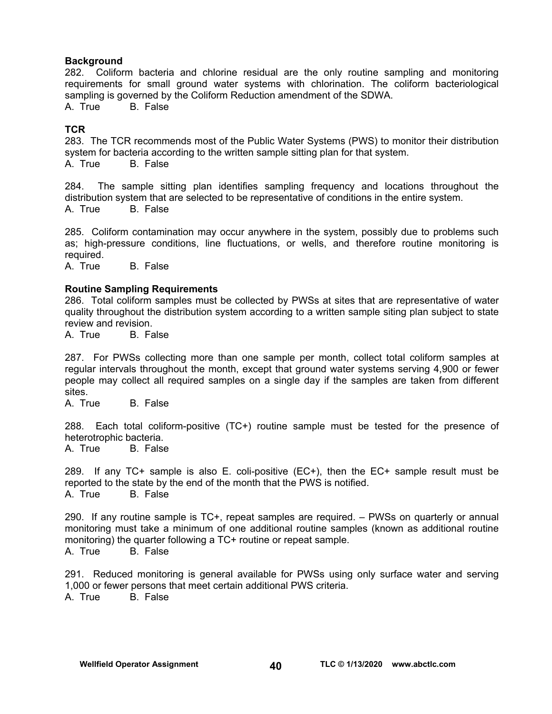#### **Background**

282. Coliform bacteria and chlorine residual are the only routine sampling and monitoring requirements for small ground water systems with chlorination. The coliform bacteriological sampling is governed by the Coliform Reduction amendment of the SDWA.

A. True B. False

#### **TCR**

283. The TCR recommends most of the Public Water Systems (PWS) to monitor their distribution system for bacteria according to the written sample sitting plan for that system.<br>A. True B. False **B.** False

284. The sample sitting plan identifies sampling frequency and locations throughout the distribution system that are selected to be representative of conditions in the entire system. A. True B. False

285. Coliform contamination may occur anywhere in the system, possibly due to problems such as; high-pressure conditions, line fluctuations, or wells, and therefore routine monitoring is required.

A. True B. False

#### **Routine Sampling Requirements**

286. Total coliform samples must be collected by PWSs at sites that are representative of water quality throughout the distribution system according to a written sample siting plan subject to state review and revision.

A. True B. False

287. For PWSs collecting more than one sample per month, collect total coliform samples at regular intervals throughout the month, except that ground water systems serving 4,900 or fewer people may collect all required samples on a single day if the samples are taken from different sites.

A. True B. False

288. Each total coliform-positive (TC+) routine sample must be tested for the presence of heterotrophic bacteria.

A. True B. False

289. If any TC+ sample is also E. coli-positive (EC+), then the EC+ sample result must be reported to the state by the end of the month that the PWS is notified. A. True B. False

290. If any routine sample is TC+, repeat samples are required. – PWSs on quarterly or annual monitoring must take a minimum of one additional routine samples (known as additional routine monitoring) the quarter following a TC+ routine or repeat sample. A. True B. False

291. Reduced monitoring is general available for PWSs using only surface water and serving 1,000 or fewer persons that meet certain additional PWS criteria. A. True B. False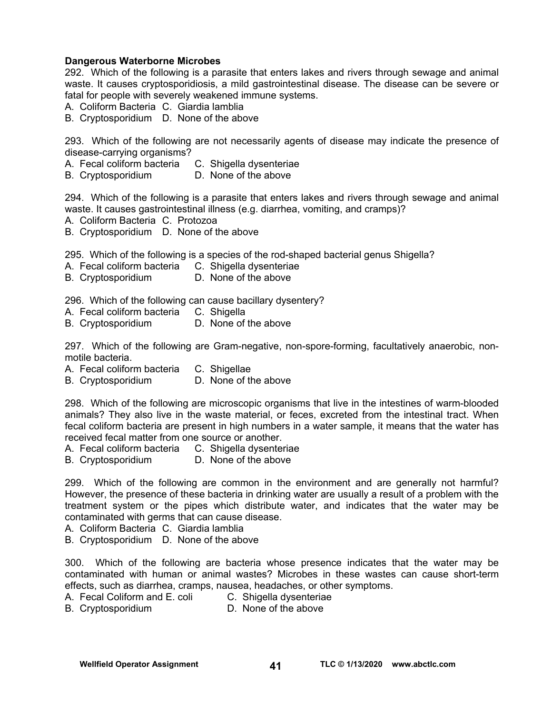#### **Dangerous Waterborne Microbes**

292. Which of the following is a parasite that enters lakes and rivers through sewage and animal waste. It causes cryptosporidiosis, a mild gastrointestinal disease. The disease can be severe or fatal for people with severely weakened immune systems.

A. Coliform Bacteria C. Giardia lamblia

B. Cryptosporidium D. None of the above

293. Which of the following are not necessarily agents of disease may indicate the presence of disease-carrying organisms?

- A. Fecal coliform bacteria C. Shigella dysenteriae
- B. Cryptosporidium D. None of the above

294. Which of the following is a parasite that enters lakes and rivers through sewage and animal waste. It causes gastrointestinal illness (e.g. diarrhea, vomiting, and cramps)?

- A. Coliform Bacteria C. Protozoa
- B. Cryptosporidium D. None of the above

295. Which of the following is a species of the rod-shaped bacterial genus Shigella?

- A. Fecal coliform bacteria C. Shigella dysenteriae
- B. Cryptosporidium D. None of the above

296. Which of the following can cause bacillary dysentery?

- A. Fecal coliform bacteria C. Shigella
- B. Cryptosporidium D. None of the above

297. Which of the following are Gram-negative, non-spore-forming, facultatively anaerobic, nonmotile bacteria.

A. Fecal coliform bacteria C. Shigellae

B. Cryptosporidium D. None of the above

298. Which of the following are microscopic organisms that live in the intestines of warm-blooded animals? They also live in the waste material, or feces, excreted from the intestinal tract. When fecal coliform bacteria are present in high numbers in a water sample, it means that the water has received fecal matter from one source or another.

- A. Fecal coliform bacteria C. Shigella dysenteriae
- B. Cryptosporidium D. None of the above

299. Which of the following are common in the environment and are generally not harmful? However, the presence of these bacteria in drinking water are usually a result of a problem with the treatment system or the pipes which distribute water, and indicates that the water may be contaminated with germs that can cause disease.

A. Coliform Bacteria C. Giardia lamblia

B. Cryptosporidium D. None of the above

300. Which of the following are bacteria whose presence indicates that the water may be contaminated with human or animal wastes? Microbes in these wastes can cause short-term effects, such as diarrhea, cramps, nausea, headaches, or other symptoms.

- A. Fecal Coliform and E. coli C. Shigella dysenteriae
- B. Cryptosporidium D. None of the above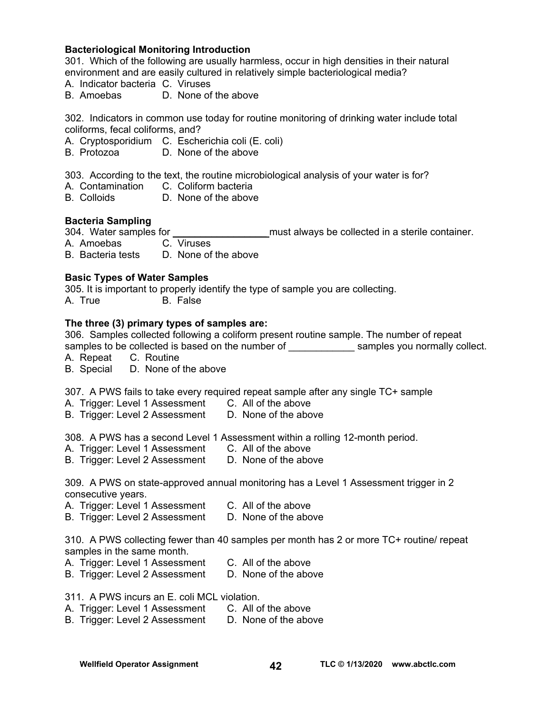#### **Bacteriological Monitoring Introduction**

301. Which of the following are usually harmless, occur in high densities in their natural environment and are easily cultured in relatively simple bacteriological media?

- A. Indicator bacteria C. Viruses
- B. Amoebas D. None of the above

302. Indicators in common use today for routine monitoring of drinking water include total coliforms, fecal coliforms, and?

- A. Cryptosporidium C. Escherichia coli (E. coli)<br>B. Protozoa D. None of the above
- D. None of the above

303. According to the text, the routine microbiological analysis of your water is for?

- A. Contamination C. Coliform bacteria
- B. Colloids D. None of the above

#### **Bacteria Sampling**

304. Water samples for \_\_\_\_\_\_\_\_\_\_\_\_\_\_\_\_\_ must always be collected in a sterile container.

A. Amoebas

B. Bacteria tests D. None of the above

#### **Basic Types of Water Samples**

305. It is important to properly identify the type of sample you are collecting.

A. True B. False

#### **The three (3) primary types of samples are:**

306. Samples collected following a coliform present routine sample. The number of repeat samples to be collected is based on the number of election of the samples you normally collect.

A. Repeat C. Routine

B. Special D. None of the above

307. A PWS fails to take every required repeat sample after any single TC+ sample

- A. Trigger: Level 1 Assessment C. All of the above
- B. Trigger: Level 2 Assessment D. None of the above

308. A PWS has a second Level 1 Assessment within a rolling 12-month period.

- A. Trigger: Level 1 Assessment C. All of the above
- B. Trigger: Level 2 Assessment D. None of the above

309. A PWS on state-approved annual monitoring has a Level 1 Assessment trigger in 2 consecutive years.

- A. Trigger: Level 1 Assessment C. All of the above
- B. Trigger: Level 2 Assessment D. None of the above

310. A PWS collecting fewer than 40 samples per month has 2 or more TC+ routine/ repeat samples in the same month.

- A. Trigger: Level 1 Assessment C. All of the above
- B. Trigger: Level 2 Assessment D. None of the above

311. A PWS incurs an E. coli MCL violation.

- A. Trigger: Level 1 Assessment C. All of the above
- B. Trigger: Level 2 Assessment D. None of the above

#### Wellfield Operator Assignment **42** TLC © 1/13/2020 www.abctlc.com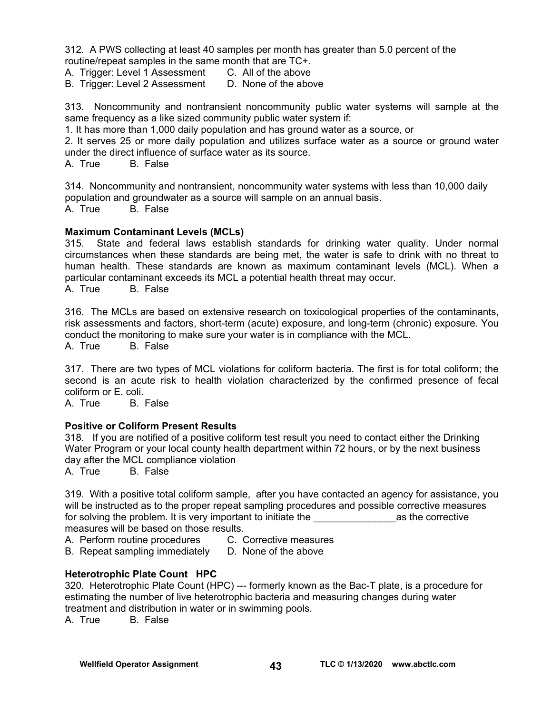312. A PWS collecting at least 40 samples per month has greater than 5.0 percent of the routine/repeat samples in the same month that are TC+.

- A. Trigger: Level 1 Assessment C. All of the above
- B. Trigger: Level 2 Assessment D. None of the above

313. Noncommunity and nontransient noncommunity public water systems will sample at the same frequency as a like sized community public water system if:

1. It has more than 1,000 daily population and has ground water as a source, or

2. It serves 25 or more daily population and utilizes surface water as a source or ground water under the direct influence of surface water as its source.

A. True B. False

314. Noncommunity and nontransient, noncommunity water systems with less than 10,000 daily population and groundwater as a source will sample on an annual basis. A. True B. False

#### **Maximum Contaminant Levels (MCLs)**

315. State and federal laws establish standards for drinking water quality. Under normal circumstances when these standards are being met, the water is safe to drink with no threat to human health. These standards are known as maximum contaminant levels (MCL). When a particular contaminant exceeds its MCL a potential health threat may occur.

A. True B. False

316. The MCLs are based on extensive research on toxicological properties of the contaminants, risk assessments and factors, short-term (acute) exposure, and long-term (chronic) exposure. You conduct the monitoring to make sure your water is in compliance with the MCL.

A. True B. False

317. There are two types of MCL violations for coliform bacteria. The first is for total coliform; the second is an acute risk to health violation characterized by the confirmed presence of fecal coliform or E. coli.

A. True B. False

#### **Positive or Coliform Present Results**

318. If you are notified of a positive coliform test result you need to contact either the Drinking Water Program or your local county health department within 72 hours, or by the next business day after the MCL compliance violation

A. True B. False

319. With a positive total coliform sample, after you have contacted an agency for assistance, you will be instructed as to the proper repeat sampling procedures and possible corrective measures for solving the problem. It is very important to initiate the example of the corrective measures will be based on those results.

- A. Perform routine procedures C. Corrective measures
- B. Repeat sampling immediately D. None of the above

#### **Heterotrophic Plate Count HPC**

320. Heterotrophic Plate Count (HPC) --- formerly known as the Bac-T plate, is a procedure for estimating the number of live heterotrophic bacteria and measuring changes during water treatment and distribution in water or in swimming pools.

A. True B. False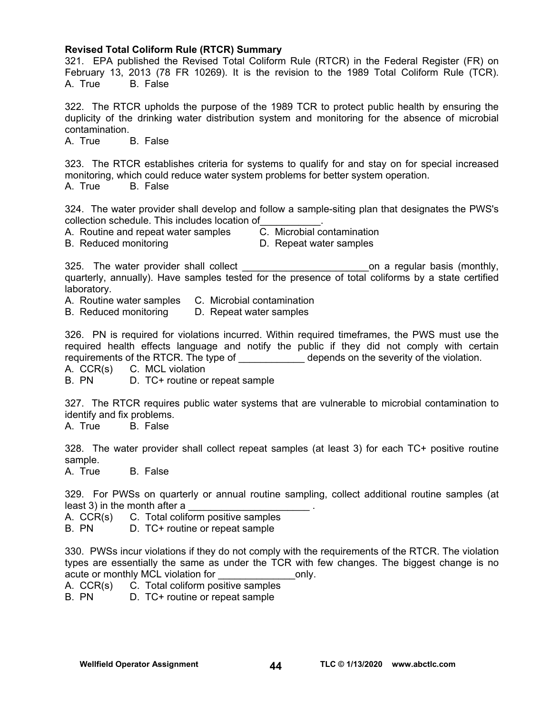#### **Revised Total Coliform Rule (RTCR) Summary**

321. EPA published the Revised Total Coliform Rule (RTCR) in the Federal Register (FR) on February 13, 2013 (78 FR 10269). It is the revision to the 1989 Total Coliform Rule (TCR). A. True B. False

322. The RTCR upholds the purpose of the 1989 TCR to protect public health by ensuring the duplicity of the drinking water distribution system and monitoring for the absence of microbial contamination.

A. True B. False

323. The RTCR establishes criteria for systems to qualify for and stay on for special increased monitoring, which could reduce water system problems for better system operation.

A. True B. False

324. The water provider shall develop and follow a sample-siting plan that designates the PWS's collection schedule. This includes location of\_\_\_\_\_\_\_\_\_\_\_.

A. Routine and repeat water samples C. Microbial contamination

B. Reduced monitoring D. Repeat water samples

325. The water provider shall collect **the collect** and the contract on a regular basis (monthly, quarterly, annually). Have samples tested for the presence of total coliforms by a state certified laboratory.

A. Routine water samples C. Microbial contamination

B. Reduced monitoring D. Repeat water samples

326. PN is required for violations incurred. Within required timeframes, the PWS must use the required health effects language and notify the public if they did not comply with certain requirements of the RTCR. The type of \_\_\_\_\_\_\_\_\_\_\_\_\_\_ depends on the severity of the violation.

A. CCR(s) C. MCL violation

B. PN D. TC+ routine or repeat sample

327. The RTCR requires public water systems that are vulnerable to microbial contamination to identify and fix problems.

A. True B. False

328. The water provider shall collect repeat samples (at least 3) for each TC+ positive routine sample.

A. True B. False

329. For PWSs on quarterly or annual routine sampling, collect additional routine samples (at least 3) in the month after a

A. CCR(s) C. Total coliform positive samples

B. PN D. TC+ routine or repeat sample

330. PWSs incur violations if they do not comply with the requirements of the RTCR. The violation types are essentially the same as under the TCR with few changes. The biggest change is no acute or monthly MCL violation for The Conductor only.

A. CCR(s) C. Total coliform positive samples

B. PN D. TC+ routine or repeat sample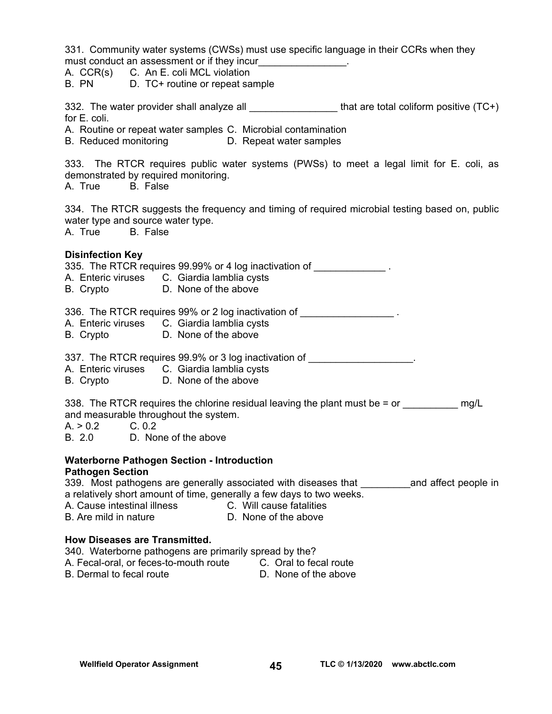331. Community water systems (CWSs) must use specific language in their CCRs when they must conduct an assessment or if they incur<br> A. CCR(s) C. An E. coli MCL violation B. PN D. TC+ routine or repeat sample 332. The water provider shall analyze all \_\_\_\_\_\_\_\_\_\_\_\_\_\_\_\_\_\_\_\_\_\_that are total coliform positive (TC+) for E. coli. A. Routine or repeat water samples C. Microbial contamination B. Reduced monitoring D. Repeat water samples 333. The RTCR requires public water systems (PWSs) to meet a legal limit for E. coli, as demonstrated by required monitoring. A. True B. False 334. The RTCR suggests the frequency and timing of required microbial testing based on, public water type and source water type. A. True B. False **Disinfection Key**  335. The RTCR requires 99.99% or 4 log inactivation of A. Enteric viruses C. Giardia lamblia cysts B. Crypto D. None of the above 336. The RTCR requires 99% or 2 log inactivation of \_\_\_\_\_\_\_\_\_\_\_\_\_\_\_\_\_\_\_\_\_. A. Enteric viruses C. Giardia lamblia cysts B. Crypto D. None of the above 337. The RTCR requires 99.9% or 3 log inactivation of A. Enteric viruses C. Giardia lamblia cysts B. Crypto D. None of the above 338. The RTCR requires the chlorine residual leaving the plant must be  $=$  or  $\frac{mq}{L}$ and measurable throughout the system.  $A. > 0.2$  C. 0.2 B. 2.0 D. None of the above **Waterborne Pathogen Section - Introduction Pathogen Section**  339. Most pathogens are generally associated with diseases that Tand affect people in a relatively short amount of time, generally a few days to two weeks. A. Cause intestinal illness C. Will cause fatalities B. Are mild in nature D. None of the above **How Diseases are Transmitted.**  340. Waterborne pathogens are primarily spread by the? A. Fecal-oral, or feces-to-mouth route C. Oral to fecal route B. Dermal to fecal route D. None of the above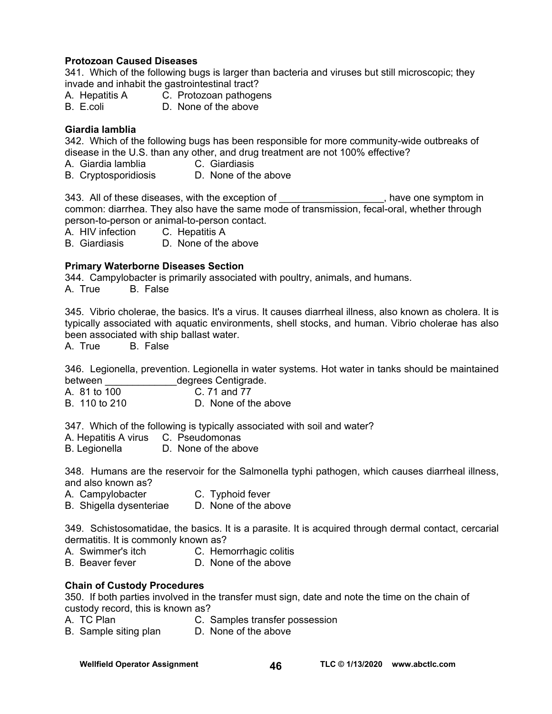#### **Protozoan Caused Diseases**

341. Which of the following bugs is larger than bacteria and viruses but still microscopic; they invade and inhabit the gastrointestinal tract?

- A. Hepatitis A C. Protozoan pathogens
- B. E.coli D. None of the above

#### **Giardia lamblia**

342. Which of the following bugs has been responsible for more community-wide outbreaks of disease in the U.S. than any other, and drug treatment are not 100% effective?<br>A. Giardia lamblia C. Giardiasis

- A. Giardia lamblia
- B. Cryptosporidiosis D. None of the above

343. All of these diseases, with the exception of  $\blacksquare$ , have one symptom in common: diarrhea. They also have the same mode of transmission, fecal-oral, whether through person-to-person or animal-to-person contact.

A. HIV infection C. Hepatitis A

B. Giardiasis D. None of the above

#### **Primary Waterborne Diseases Section**

344. Campylobacter is primarily associated with poultry, animals, and humans.

A. True B. False

345. Vibrio cholerae, the basics. It's a virus. It causes diarrheal illness, also known as cholera. It is typically associated with aquatic environments, shell stocks, and human. Vibrio cholerae has also been associated with ship ballast water.

A. True B. False

346. Legionella, prevention. Legionella in water systems. Hot water in tanks should be maintained between degrees Centigrade.

A. 81 to 100 C. 71 and 77 B 110 to 210 D. None of the above

347. Which of the following is typically associated with soil and water?

A. Hepatitis A virus C. Pseudomonas

B. Legionella D. None of the above

348. Humans are the reservoir for the Salmonella typhi pathogen, which causes diarrheal illness, and also known as?

- 
- A. Campylobacter **C. Typhoid fever**<br>B. Shigella dysenteriae **D. None of the above** B. Shigella dysenteriae

349. Schistosomatidae, the basics. It is a parasite. It is acquired through dermal contact, cercarial dermatitis. It is commonly known as?

- A. Swimmer's itch C. Hemorrhagic colitis
- B. Beaver fever D. None of the above

#### **Chain of Custody Procedures**

350. If both parties involved in the transfer must sign, date and note the time on the chain of custody record, this is known as?

- A. TC Plan C. Samples transfer possession
- B. Sample siting plan D. None of the above

Wellfield Operator Assignment **46 TLC © 1/13/2020** www.abctlc.com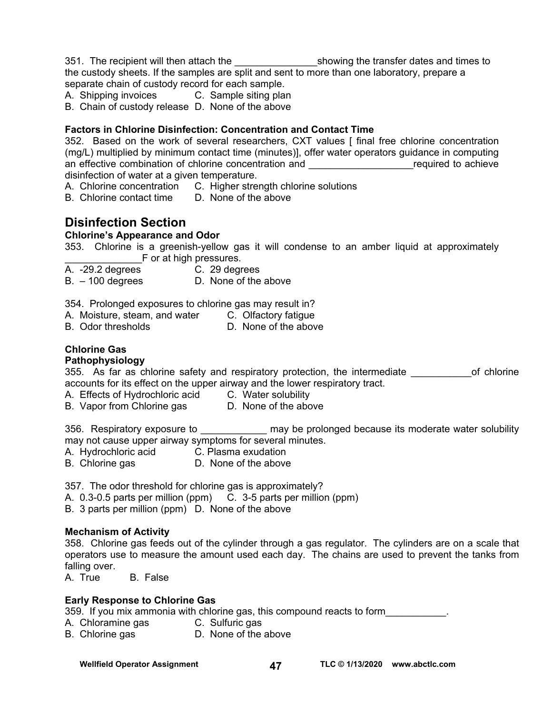351. The recipient will then attach the \_\_\_\_\_\_\_\_\_\_\_\_\_\_\_showing the transfer dates and times to the custody sheets. If the samples are split and sent to more than one laboratory, prepare a separate chain of custody record for each sample.

A. Shipping invoices C. Sample siting plan

B. Chain of custody release D. None of the above

#### **Factors in Chlorine Disinfection: Concentration and Contact Time**

352. Based on the work of several researchers, CXT values [ final free chlorine concentration (mg/L) multiplied by minimum contact time (minutes)], offer water operators guidance in computing an effective combination of chlorine concentration and **Example 20** achieve disinfection of water at a given temperature.

- A. Chlorine concentration C. Higher strength chlorine solutions
- B. Chlorine contact time D. None of the above

## **Disinfection Section**

#### **Chlorine's Appearance and Odor**

353. Chlorine is a greenish-yellow gas it will condense to an amber liquid at approximately F or at high pressures.

- A. -29.2 degrees C. 29 degrees
	-

B. – 100 degrees D. None of the above

354. Prolonged exposures to chlorine gas may result in?

- A. Moisture, steam, and water C. Olfactory fatigue
- B. Odor thresholds D. None of the above

#### **Chlorine Gas**

#### **Pathophysiology**

355. As far as chlorine safety and respiratory protection, the intermediate on the of chlorine accounts for its effect on the upper airway and the lower respiratory tract.

A. Effects of Hydrochloric acid C. Water solubility

B. Vapor from Chlorine gas CD. None of the above

356. Respiratory exposure to \_\_\_\_\_\_\_\_\_\_\_\_\_ may be prolonged because its moderate water solubility may not cause upper airway symptoms for several minutes.

- A. Hydrochloric acid C. Plasma exudation
- B. Chlorine gas **D.** None of the above

357. The odor threshold for chlorine gas is approximately?

A. 0.3-0.5 parts per million (ppm) C. 3-5 parts per million (ppm)

B. 3 parts per million (ppm) D. None of the above

#### **Mechanism of Activity**

358. Chlorine gas feeds out of the cylinder through a gas regulator. The cylinders are on a scale that operators use to measure the amount used each day. The chains are used to prevent the tanks from falling over.

A. True B. False

#### **Early Response to Chlorine Gas**

359. If you mix ammonia with chlorine gas, this compound reacts to form \_\_\_\_\_\_\_\_\_

- A. Chloramine gas C. Sulfuric gas
- B. Chlorine gas **D. None of the above**

Wellfield Operator Assignment **47 TLC © 1/13/2020** www.abctlc.com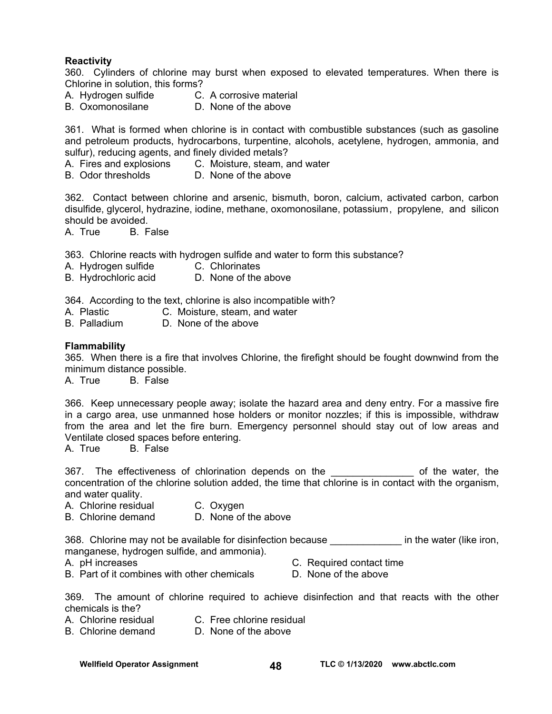#### **Reactivity**

360. Cylinders of chlorine may burst when exposed to elevated temperatures. When there is Chlorine in solution, this forms?

- A. Hydrogen sulfide C. A corrosive material
- B. Oxomonosilane D. None of the above

361. What is formed when chlorine is in contact with combustible substances (such as gasoline and petroleum products, hydrocarbons, turpentine, alcohols, acetylene, hydrogen, ammonia, and sulfur), reducing agents, and finely divided metals?

- A. Fires and explosions C. Moisture, steam, and water
- B. Odor thresholds D. None of the above

362. Contact between chlorine and arsenic, bismuth, boron, calcium, activated carbon, carbon disulfide, glycerol, hydrazine, iodine, methane, oxomonosilane, potassium , propylene, and silicon should be avoided.

A. True B. False

363. Chlorine reacts with hydrogen sulfide and water to form this substance?

- A. Hydrogen sulfide C. Chlorinates
- B. Hydrochloric acid D. None of the above

364. According to the text, chlorine is also incompatible with?

- A. Plastic **C. Moisture, steam, and water**<br>B. Palladium **D. None of the above**
- D. None of the above

#### **Flammability**

365. When there is a fire that involves Chlorine, the firefight should be fought downwind from the minimum distance possible.

A. True B. False

366. Keep unnecessary people away; isolate the hazard area and deny entry. For a massive fire in a cargo area, use unmanned hose holders or monitor nozzles; if this is impossible, withdraw from the area and let the fire burn. Emergency personnel should stay out of low areas and Ventilate closed spaces before entering.

A. True B. False

367. The effectiveness of chlorination depends on the \_\_\_\_\_\_\_\_\_\_\_\_\_\_\_ of the water, the concentration of the chlorine solution added, the time that chlorine is in contact with the organism, and water quality.

- A. Chlorine residual C. Oxygen
- B. Chlorine demand D. None of the above

368. Chlorine may not be available for disinfection because **Example 2018** in the water (like iron, manganese, hydrogen sulfide, and ammonia).

- 
- A. pH increases C. Required contact time
- B. Part of it combines with other chemicals D. None of the above
- 

369. The amount of chlorine required to achieve disinfection and that reacts with the other chemicals is the?

- A. Chlorine residual C. Free chlorine residual
- B. Chlorine demand D. None of the above

Wellfield Operator Assignment **48 TLC © 1/13/2020** www.abctlc.com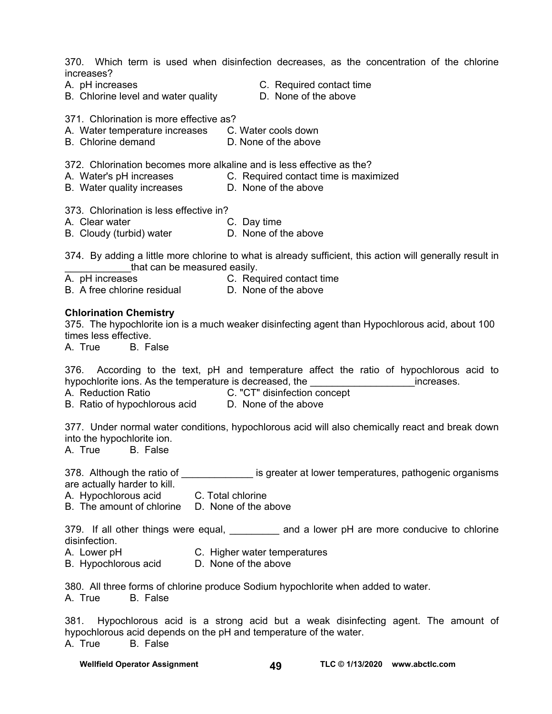370. Which term is used when disinfection decreases, as the concentration of the chlorine increases?

- 
- B. Chlorine level and water quality **D.** None of the above
- A. pH increases C. Required contact time
	-

371. Chlorination is more effective as?

- A. Water temperature increases C. Water cools down
- B. Chlorine demand D. None of the above

372. Chlorination becomes more alkaline and is less effective as the?

- A. Water's pH increases **C. Required contact time is maximized**
- B. Water quality increases **D. None of the above**

373. Chlorination is less effective in?

- A. Clear water **C. Day time** 
	-
- B. Cloudy (turbid) water **D.** None of the above

374. By adding a little more chlorine to what is already sufficient, this action will generally result in that can be measured easily.

- A. pH increases C. Required contact time
- B. A free chlorine residual D. None of the above

#### **Chlorination Chemistry**

375. The hypochlorite ion is a much weaker disinfecting agent than Hypochlorous acid, about 100 times less effective.

A. True B. False

376. According to the text, pH and temperature affect the ratio of hypochlorous acid to hypochlorite ions. As the temperature is decreased, the **we are all increases**.

- A. Reduction Ratio C. "CT" disinfection concept
- B. Ratio of hypochlorous acid D. None of the above
	-

377. Under normal water conditions, hypochlorous acid will also chemically react and break down into the hypochlorite ion.

A. True B. False

378. Although the ratio of \_\_\_\_\_\_\_\_\_\_\_\_\_\_\_ is greater at lower temperatures, pathogenic organisms are actually harder to kill.

- A. Hypochlorous acid C. Total chlorine
- B. The amount of chlorine D. None of the above

379. If all other things were equal, and a lower pH are more conducive to chlorine disinfection.

- A. Lower pH C. Higher water temperatures
- B. Hypochlorous acid D. None of the above

380. All three forms of chlorine produce Sodium hypochlorite when added to water.

A. True B. False

381. Hypochlorous acid is a strong acid but a weak disinfecting agent. The amount of hypochlorous acid depends on the pH and temperature of the water. A. True B. False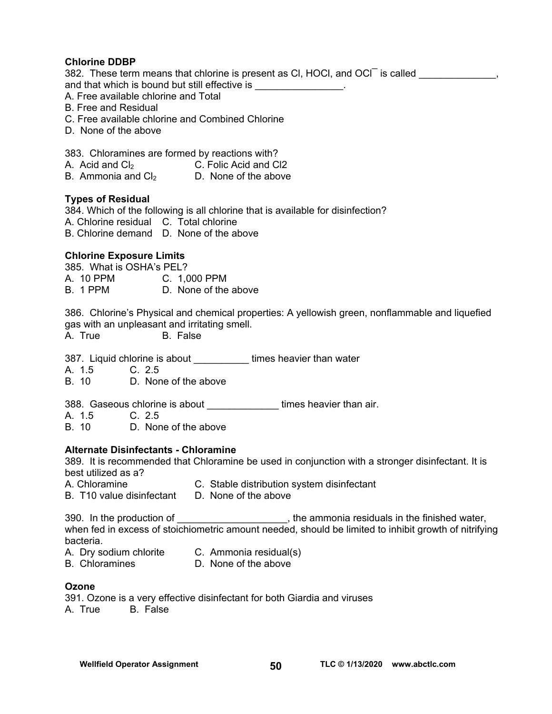#### **Chlorine DDBP**

382. These term means that chlorine is present as CI, HOCI, and OCI is called \_\_\_\_\_\_\_\_\_\_\_\_\_, and that which is bound but still effective is \_\_\_\_\_\_\_\_\_\_\_\_\_\_\_.

A. Free available chlorine and Total

- B. Free and Residual
- C. Free available chlorine and Combined Chlorine
- D. None of the above

383. Chloramines are formed by reactions with?

- A. Acid and Cl<sub>2</sub> C. Folic Acid and Cl2
- B. Ammonia and  $Cl<sub>2</sub>$  D. None of the above

#### **Types of Residual**

384. Which of the following is all chlorine that is available for disinfection?

- A. Chlorine residual C. Total chlorine
- B. Chlorine demand D. None of the above

#### **Chlorine Exposure Limits**

385. What is OSHA's PEL?<br>A 10 PPM C 10

- A. 10 PPM C. 1,000 PPM<br>B. 1 PPM D. None of the
- D. None of the above

386. Chlorine's Physical and chemical properties: A yellowish green, nonflammable and liquefied gas with an unpleasant and irritating smell.

A. True B. False

387. Liquid chlorine is about \_\_\_\_\_\_\_\_\_\_\_ times heavier than water

A. 1.5 C. 2.5

B. 10 D. None of the above

388. Gaseous chlorine is about \_\_\_\_\_\_\_\_\_\_\_\_\_\_\_times heavier than air.

- A. 1.5 C. 2.5
- B. 10 D. None of the above

#### **Alternate Disinfectants - Chloramine**

389. It is recommended that Chloramine be used in conjunction with a stronger disinfectant. It is best utilized as a?

- A. Chloramine C. Stable distribution system disinfectant
- B. T10 value disinfectant D. None of the above

390. In the production of \_\_\_\_\_\_\_\_\_\_\_\_\_\_\_\_\_\_\_\_, the ammonia residuals in the finished water, when fed in excess of stoichiometric amount needed, should be limited to inhibit growth of nitrifying bacteria.

- A. Dry sodium chlorite C. Ammonia residual(s)
	-
- B. Chloramines D. None of the above

#### **Ozone**

|         | 391. Ozone is a very effective disinfectant for both Giardia and viruses |
|---------|--------------------------------------------------------------------------|
| A. True | B. False                                                                 |